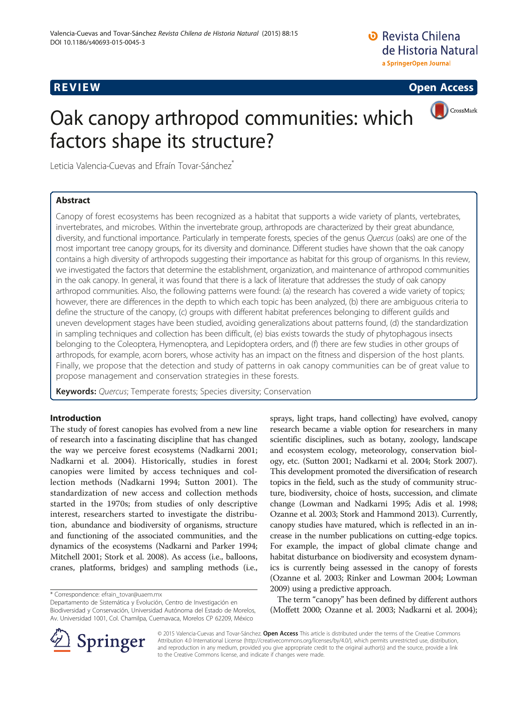**D** Revista Chilena de Historia Natural

#### a SpringerOpen Journal

# **REVIEW CONSTRUCTION CONSTRUCTION CONSTRUCTS**



# Oak canopy arthropod communities: which factors shape its structure?

Leticia Valencia-Cuevas and Efraín Tovar-Sánchez<sup>®</sup>

# Abstract

Canopy of forest ecosystems has been recognized as a habitat that supports a wide variety of plants, vertebrates, invertebrates, and microbes. Within the invertebrate group, arthropods are characterized by their great abundance, diversity, and functional importance. Particularly in temperate forests, species of the genus Quercus (oaks) are one of the most important tree canopy groups, for its diversity and dominance. Different studies have shown that the oak canopy contains a high diversity of arthropods suggesting their importance as habitat for this group of organisms. In this review, we investigated the factors that determine the establishment, organization, and maintenance of arthropod communities in the oak canopy. In general, it was found that there is a lack of literature that addresses the study of oak canopy arthropod communities. Also, the following patterns were found: (a) the research has covered a wide variety of topics; however, there are differences in the depth to which each topic has been analyzed, (b) there are ambiguous criteria to define the structure of the canopy, (c) groups with different habitat preferences belonging to different guilds and uneven development stages have been studied, avoiding generalizations about patterns found, (d) the standardization in sampling techniques and collection has been difficult, (e) bias exists towards the study of phytophagous insects belonging to the Coleoptera, Hymenoptera, and Lepidoptera orders, and (f) there are few studies in other groups of arthropods, for example, acorn borers, whose activity has an impact on the fitness and dispersion of the host plants. Finally, we propose that the detection and study of patterns in oak canopy communities can be of great value to propose management and conservation strategies in these forests.

Keywords: Quercus; Temperate forests; Species diversity; Conservation

# Introduction

The study of forest canopies has evolved from a new line of research into a fascinating discipline that has changed the way we perceive forest ecosystems (Nadkarni [2001](#page-19-0); Nadkarni et al. [2004](#page-19-0)). Historically, studies in forest canopies were limited by access techniques and collection methods (Nadkarni [1994;](#page-19-0) Sutton [2001\)](#page-20-0). The standardization of new access and collection methods started in the 1970s; from studies of only descriptive interest, researchers started to investigate the distribution, abundance and biodiversity of organisms, structure and functioning of the associated communities, and the dynamics of the ecosystems (Nadkarni and Parker [1994](#page-19-0); Mitchell [2001;](#page-19-0) Stork et al. [2008](#page-20-0)). As access (i.e., balloons, cranes, platforms, bridges) and sampling methods (i.e.,

Departamento de Sistemática y Evolución, Centro de Investigación en Biodiversidad y Conservación, Universidad Autónoma del Estado de Morelos, Av. Universidad 1001, Col. Chamilpa, Cuernavaca, Morelos CP 62209, México

sprays, light traps, hand collecting) have evolved, canopy research became a viable option for researchers in many scientific disciplines, such as botany, zoology, landscape and ecosystem ecology, meteorology, conservation biology, etc. (Sutton [2001](#page-20-0); Nadkarni et al. [2004](#page-19-0); Stork [2007](#page-20-0)). This development promoted the diversification of research topics in the field, such as the study of community structure, biodiversity, choice of hosts, succession, and climate change (Lowman and Nadkarni [1995](#page-18-0); Adis et al. [1998](#page-16-0); Ozanne et al. [2003](#page-19-0); Stork and Hammond [2013](#page-20-0)). Currently, canopy studies have matured, which is reflected in an increase in the number publications on cutting-edge topics. For example, the impact of global climate change and habitat disturbance on biodiversity and ecosystem dynamics is currently being assessed in the canopy of forests (Ozanne et al. [2003;](#page-19-0) Rinker and Lowman [2004;](#page-19-0) Lowman [2009](#page-18-0)) using a predictive approach.

The term "canopy" has been defined by different authors (Moffett [2000;](#page-19-0) Ozanne et al. [2003;](#page-19-0) Nadkarni et al. [2004](#page-19-0));



© 2015 Valencia-Cuevas and Tovar-Sánchez. Open Access This article is distributed under the terms of the Creative Commons Attribution 4.0 International License ([http://creativecommons.org/licenses/by/4.0/\)](http://creativecommons.org/licenses/by/4.0/), which permits unrestricted use, distribution, and reproduction in any medium, provided you give appropriate credit to the original author(s) and the source, provide a link to the Creative Commons license, and indicate if changes were made.

<sup>\*</sup> Correspondence: [efrain\\_tovar@uaem.mx](mailto:efrain_tovar@uaem.mx)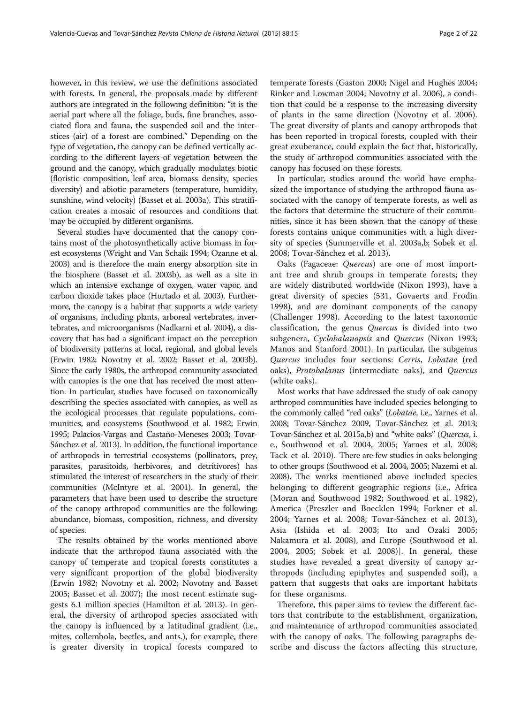however, in this review, we use the definitions associated with forests. In general, the proposals made by different authors are integrated in the following definition: "it is the aerial part where all the foliage, buds, fine branches, associated flora and fauna, the suspended soil and the interstices (air) of a forest are combined." Depending on the type of vegetation, the canopy can be defined vertically according to the different layers of vegetation between the ground and the canopy, which gradually modulates biotic (floristic composition, leaf area, biomass density, species diversity) and abiotic parameters (temperature, humidity, sunshine, wind velocity) (Basset et al. [2003a\)](#page-16-0). This stratification creates a mosaic of resources and conditions that may be occupied by different organisms.

Several studies have documented that the canopy contains most of the photosynthetically active biomass in forest ecosystems (Wright and Van Schaik [1994;](#page-21-0) Ozanne et al. [2003\)](#page-19-0) and is therefore the main energy absorption site in the biosphere (Basset et al. [2003b](#page-16-0)), as well as a site in which an intensive exchange of oxygen, water vapor, and carbon dioxide takes place (Hurtado et al. [2003\)](#page-18-0). Furthermore, the canopy is a habitat that supports a wide variety of organisms, including plants, arboreal vertebrates, invertebrates, and microorganisms (Nadkarni et al. [2004](#page-19-0)), a discovery that has had a significant impact on the perception of biodiversity patterns at local, regional, and global levels (Erwin [1982](#page-17-0); Novotny et al. [2002](#page-19-0); Basset et al. [2003b](#page-16-0)). Since the early 1980s, the arthropod community associated with canopies is the one that has received the most attention. In particular, studies have focused on taxonomically describing the species associated with canopies, as well as the ecological processes that regulate populations, communities, and ecosystems (Southwood et al. [1982;](#page-20-0) Erwin [1995;](#page-17-0) Palacios-Vargas and Castaño-Meneses [2003;](#page-19-0) Tovar-Sánchez et al. [2013\)](#page-20-0). In addition, the functional importance of arthropods in terrestrial ecosystems (pollinators, prey, parasites, parasitoids, herbivores, and detritivores) has stimulated the interest of researchers in the study of their communities (McIntyre et al. [2001](#page-18-0)). In general, the parameters that have been used to describe the structure of the canopy arthropod communities are the following: abundance, biomass, composition, richness, and diversity of species.

The results obtained by the works mentioned above indicate that the arthropod fauna associated with the canopy of temperate and tropical forests constitutes a very significant proportion of the global biodiversity (Erwin [1982;](#page-17-0) Novotny et al. [2002](#page-19-0); Novotny and Basset [2005](#page-19-0); Basset et al. [2007\)](#page-16-0); the most recent estimate suggests 6.1 million species (Hamilton et al. [2013\)](#page-17-0). In general, the diversity of arthropod species associated with the canopy is influenced by a latitudinal gradient (i.e., mites, collembola, beetles, and ants.), for example, there is greater diversity in tropical forests compared to temperate forests (Gaston [2000](#page-17-0); Nigel and Hughes [2004](#page-19-0); Rinker and Lowman [2004;](#page-19-0) Novotny et al. [2006\)](#page-19-0), a condition that could be a response to the increasing diversity of plants in the same direction (Novotny et al. [2006](#page-19-0)). The great diversity of plants and canopy arthropods that has been reported in tropical forests, coupled with their great exuberance, could explain the fact that, historically, the study of arthropod communities associated with the canopy has focused on these forests.

In particular, studies around the world have emphasized the importance of studying the arthropod fauna associated with the canopy of temperate forests, as well as the factors that determine the structure of their communities, since it has been shown that the canopy of these forests contains unique communities with a high diversity of species (Summerville et al. [2003a](#page-20-0),[b;](#page-20-0) Sobek et al. [2008](#page-20-0); Tovar-Sánchez et al. [2013](#page-20-0)).

Oaks (Fagaceae: Quercus) are one of most important tree and shrub groups in temperate forests; they are widely distributed worldwide (Nixon [1993\)](#page-19-0), have a great diversity of species (531, Govaerts and Frodin [1998\)](#page-17-0), and are dominant components of the canopy (Challenger [1998\)](#page-16-0). According to the latest taxonomic classification, the genus Quercus is divided into two subgenera, Cyclobalanopsis and Quercus (Nixon [1993](#page-19-0); Manos and Stanford [2001](#page-18-0)). In particular, the subgenus Quercus includes four sections: Cerris, Lobatae (red oaks), Protobalanus (intermediate oaks), and Quercus (white oaks).

Most works that have addressed the study of oak canopy arthropod communities have included species belonging to the commonly called "red oaks" (Lobatae, i.e., Yarnes et al. [2008;](#page-21-0) Tovar-Sánchez [2009](#page-20-0), Tovar-Sánchez et al. [2013](#page-20-0); Tovar-Sánchez et al. [2015a,b](#page-20-0)) and "white oaks" (Quercus, i. e., Southwood et al. [2004, 2005;](#page-20-0) Yarnes et al. [2008](#page-21-0); Tack et al. [2010](#page-20-0)). There are few studies in oaks belonging to other groups (Southwood et al. [2004, 2005](#page-20-0); Nazemi et al. [2008\)](#page-19-0). The works mentioned above included species belonging to different geographic regions (i.e., Africa (Moran and Southwood [1982;](#page-19-0) Southwood et al. [1982](#page-20-0)), America (Preszler and Boecklen [1994;](#page-19-0) Forkner et al. [2004;](#page-17-0) Yarnes et al. [2008;](#page-21-0) Tovar-Sánchez et al. [2013](#page-20-0)), Asia (Ishida et al. [2003;](#page-18-0) Ito and Ozaki [2005](#page-18-0); Nakamura et al. [2008\)](#page-19-0), and Europe (Southwood et al. [2004, 2005;](#page-20-0) Sobek et al. [2008](#page-20-0))]. In general, these studies have revealed a great diversity of canopy arthropods (including epiphytes and suspended soil), a pattern that suggests that oaks are important habitats for these organisms.

Therefore, this paper aims to review the different factors that contribute to the establishment, organization, and maintenance of arthropod communities associated with the canopy of oaks. The following paragraphs describe and discuss the factors affecting this structure,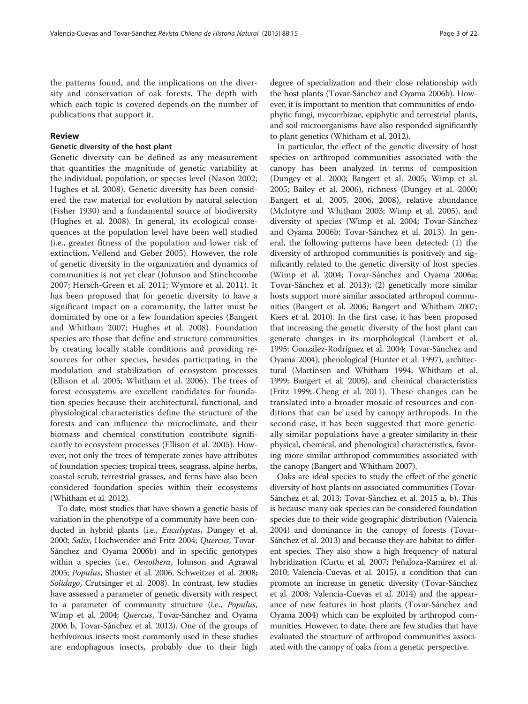the patterns found, and the implications on the diversity and conservation of oak forests. The depth with which each topic is covered depends on the number of publications that support it.

### Review

## Genetic diversity of the host plant

Genetic diversity can be defined as any measurement that quantifies the magnitude of genetic variability at the individual, population, or species level (Nason [2002](#page-19-0); Hughes et al. [2008](#page-17-0)). Genetic diversity has been considered the raw material for evolution by natural selection (Fisher [1930](#page-17-0)) and a fundamental source of biodiversity (Hughes et al. [2008\)](#page-17-0). In general, its ecological consequences at the population level have been well studied (i.e., greater fitness of the population and lower risk of extinction, Vellend and Geber [2005\)](#page-20-0). However, the role of genetic diversity in the organization and dynamics of communities is not yet clear (Johnson and Stinchcombe [2007;](#page-18-0) Hersch-Green et al. [2011](#page-17-0); Wymore et al. [2011](#page-21-0)). It has been proposed that for genetic diversity to have a significant impact on a community, the latter must be dominated by one or a few foundation species (Bangert and Whitham [2007](#page-16-0); Hughes et al. [2008](#page-17-0)). Foundation species are those that define and structure communities by creating locally stable conditions and providing resources for other species, besides participating in the modulation and stabilization of ecosystem processes (Ellison et al. [2005](#page-17-0); Whitham et al. [2006\)](#page-21-0). The trees of forest ecosystems are excellent candidates for foundation species because their architectural, functional, and physiological characteristics define the structure of the forests and can influence the microclimate, and their biomass and chemical constitution contribute significantly to ecosystem processes (Ellison et al. [2005](#page-17-0)). However, not only the trees of temperate zones have attributes of foundation species; tropical trees, seagrass, alpine herbs, coastal scrub, terrestrial grasses, and ferns have also been considered foundation species within their ecosystems (Whitham et al. [2012](#page-21-0)).

To date, most studies that have shown a genetic basis of variation in the phenotype of a community have been conducted in hybrid plants (i.e., *Eucalyptus*, Dungey et al. [2000;](#page-17-0) Salix, Hochwender and Fritz [2004](#page-17-0); Quercus, Tovar-Sánchez and Oyama [2006b\)](#page-20-0) and in specific genotypes within a species (i.e., *Oenothera*, Johnson and Agrawal [2005;](#page-18-0) Populus, Shuster et al. [2006](#page-20-0), Schweitzer et al. [2008](#page-19-0); Solidago, Crutsinger et al. [2008](#page-16-0)). In contrast, few studies have assessed a parameter of genetic diversity with respect to a parameter of community structure (i.e., Populus, Wimp et al. [2004](#page-21-0); Quercus, Tovar-Sánchez and Oyama [2006 b,](#page-20-0) Tovar-Sánchez et al. [2013](#page-20-0)). One of the groups of herbivorous insects most commonly used in these studies are endophagous insects, probably due to their high degree of specialization and their close relationship with the host plants (Tovar-Sánchez and Oyama [2006b](#page-20-0)). However, it is important to mention that communities of endophytic fungi, mycorrhizae, epiphytic and terrestrial plants, and soil microorganisms have also responded significantly to plant genetics (Whitham et al. [2012\)](#page-21-0).

In particular, the effect of the genetic diversity of host species on arthropod communities associated with the canopy has been analyzed in terms of composition (Dungey et al. [2000](#page-17-0); Bangert et al. [2005](#page-16-0); Wimp et al. [2005](#page-21-0); Bailey et al. [2006\)](#page-16-0), richness (Dungey et al. [2000](#page-17-0); Bangert et al. [2005](#page-16-0), [2006](#page-16-0), [2008](#page-16-0)), relative abundance (McIntyre and Whitham [2003](#page-18-0); Wimp et al. [2005\)](#page-21-0), and diversity of species (Wimp et al. [2004;](#page-21-0) Tovar-Sánchez and Oyama [2006b](#page-20-0); Tovar-Sánchez et al. [2013\)](#page-20-0). In general, the following patterns have been detected: (1) the diversity of arthropod communities is positively and significantly related to the genetic diversity of host species (Wimp et al. [2004](#page-21-0); Tovar-Sánchez and Oyama [2006a](#page-20-0); Tovar-Sánchez et al. [2013\)](#page-20-0); (2) genetically more similar hosts support more similar associated arthropod communities (Bangert et al. [2006](#page-16-0); Bangert and Whitham [2007](#page-16-0); Kiers et al. [2010](#page-18-0)). In the first case, it has been proposed that increasing the genetic diversity of the host plant can generate changes in its morphological (Lambert et al. [1995;](#page-18-0) González-Rodríguez et al. [2004;](#page-17-0) Tovar-Sánchez and Oyama [2004\)](#page-20-0), phenological (Hunter et al. [1997](#page-17-0)), architectural (Martinsen and Whitham [1994;](#page-18-0) Whitham et al. [1999;](#page-21-0) Bangert et al. [2005\)](#page-16-0), and chemical characteristics (Fritz [1999;](#page-17-0) Cheng et al. [2011](#page-16-0)). These changes can be translated into a broader mosaic of resources and conditions that can be used by canopy arthropods. In the second case, it has been suggested that more genetically similar populations have a greater similarity in their physical, chemical, and phenological characteristics, favoring more similar arthropod communities associated with the canopy (Bangert and Whitham [2007\)](#page-16-0).

Oaks are ideal species to study the effect of the genetic diversity of host plants on associated communities (Tovar-Sánchez et al. [2013](#page-20-0); Tovar-Sánchez et al. [2015 a](#page-20-0), [b](#page-20-0)). This is because many oak species can be considered foundation species due to their wide geographic distribution (Valencia [2004](#page-20-0)) and dominance in the canopy of forests (Tovar-Sánchez et al. [2013](#page-20-0)) and because they are habitat to different species. They also show a high frequency of natural hybridization (Curtu et al. [2007](#page-16-0); Peñaloza-Ramírez et al. [2010](#page-19-0); Valencia-Cuevas et al. [2015](#page-20-0)), a condition that can promote an increase in genetic diversity (Tovar-Sánchez et al. [2008;](#page-20-0) Valencia-Cuevas et al. [2014](#page-20-0)) and the appearance of new features in host plants (Tovar-Sánchez and Oyama [2004](#page-20-0)) which can be exploited by arthropod communities. However, to date, there are few studies that have evaluated the structure of arthropod communities associated with the canopy of oaks from a genetic perspective.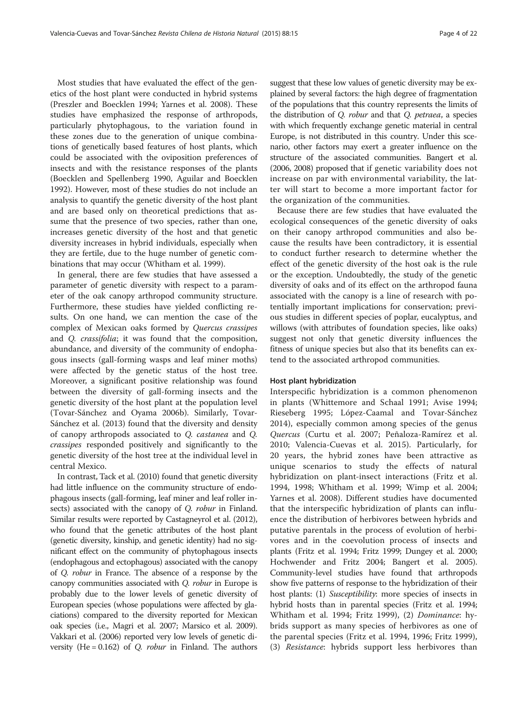Most studies that have evaluated the effect of the genetics of the host plant were conducted in hybrid systems (Preszler and Boecklen [1994;](#page-19-0) Yarnes et al. [2008\)](#page-21-0). These studies have emphasized the response of arthropods, particularly phytophagous, to the variation found in these zones due to the generation of unique combinations of genetically based features of host plants, which could be associated with the oviposition preferences of insects and with the resistance responses of the plants (Boecklen and Spellenberg [1990,](#page-16-0) Aguilar and Boecklen [1992](#page-16-0)). However, most of these studies do not include an analysis to quantify the genetic diversity of the host plant and are based only on theoretical predictions that assume that the presence of two species, rather than one, increases genetic diversity of the host and that genetic diversity increases in hybrid individuals, especially when they are fertile, due to the huge number of genetic combinations that may occur (Whitham et al. [1999](#page-21-0)).

In general, there are few studies that have assessed a parameter of genetic diversity with respect to a parameter of the oak canopy arthropod community structure. Furthermore, these studies have yielded conflicting results. On one hand, we can mention the case of the complex of Mexican oaks formed by Quercus crassipes and Q. crassifolia; it was found that the composition, abundance, and diversity of the community of endophagous insects (gall-forming wasps and leaf miner moths) were affected by the genetic status of the host tree. Moreover, a significant positive relationship was found between the diversity of gall-forming insects and the genetic diversity of the host plant at the population level (Tovar-Sánchez and Oyama [2006b\)](#page-20-0). Similarly, Tovar-Sánchez et al. ([2013](#page-20-0)) found that the diversity and density of canopy arthropods associated to Q. castanea and Q. crassipes responded positively and significantly to the genetic diversity of the host tree at the individual level in central Mexico.

In contrast, Tack et al. ([2010\)](#page-20-0) found that genetic diversity had little influence on the community structure of endophagous insects (gall-forming, leaf miner and leaf roller insects) associated with the canopy of Q. robur in Finland. Similar results were reported by Castagneyrol et al. [\(2012](#page-16-0)), who found that the genetic attributes of the host plant (genetic diversity, kinship, and genetic identity) had no significant effect on the community of phytophagous insects (endophagous and ectophagous) associated with the canopy of Q. robur in France. The absence of a response by the canopy communities associated with Q. robur in Europe is probably due to the lower levels of genetic diversity of European species (whose populations were affected by glaciations) compared to the diversity reported for Mexican oak species (i.e., Magri et al. [2007;](#page-18-0) Marsico et al. [2009](#page-18-0)). Vakkari et al. [\(2006\)](#page-20-0) reported very low levels of genetic diversity (He =  $0.162$ ) of *Q. robur* in Finland. The authors

suggest that these low values of genetic diversity may be explained by several factors: the high degree of fragmentation of the populations that this country represents the limits of the distribution of Q. robur and that Q. petraea, a species with which frequently exchange genetic material in central Europe, is not distributed in this country. Under this scenario, other factors may exert a greater influence on the structure of the associated communities. Bangert et al. ([2006, 2008](#page-16-0)) proposed that if genetic variability does not increase on par with environmental variability, the latter will start to become a more important factor for the organization of the communities.

Because there are few studies that have evaluated the ecological consequences of the genetic diversity of oaks on their canopy arthropod communities and also because the results have been contradictory, it is essential to conduct further research to determine whether the effect of the genetic diversity of the host oak is the rule or the exception. Undoubtedly, the study of the genetic diversity of oaks and of its effect on the arthropod fauna associated with the canopy is a line of research with potentially important implications for conservation; previous studies in different species of poplar, eucalyptus, and willows (with attributes of foundation species, like oaks) suggest not only that genetic diversity influences the fitness of unique species but also that its benefits can extend to the associated arthropod communities.

#### Host plant hybridization

Interspecific hybridization is a common phenomenon in plants (Whittemore and Schaal [1991](#page-21-0); Avise [1994](#page-16-0); Rieseberg [1995](#page-19-0); López-Caamal and Tovar-Sánchez [2014\)](#page-18-0), especially common among species of the genus Quercus (Curtu et al. [2007;](#page-16-0) Peñaloza-Ramírez et al. [2010;](#page-19-0) Valencia-Cuevas et al. [2015](#page-20-0)). Particularly, for 20 years, the hybrid zones have been attractive as unique scenarios to study the effects of natural hybridization on plant-insect interactions (Fritz et al. [1994, 1998;](#page-17-0) Whitham et al. [1999;](#page-21-0) Wimp et al. [2004](#page-21-0); Yarnes et al. [2008\)](#page-21-0). Different studies have documented that the interspecific hybridization of plants can influence the distribution of herbivores between hybrids and putative parentals in the process of evolution of herbivores and in the coevolution process of insects and plants (Fritz et al. [1994;](#page-17-0) Fritz [1999;](#page-17-0) Dungey et al. [2000](#page-17-0); Hochwender and Fritz [2004;](#page-17-0) Bangert et al. [2005](#page-16-0)). Community-level studies have found that arthropods show five patterns of response to the hybridization of their host plants: (1) Susceptibility: more species of insects in hybrid hosts than in parental species (Fritz et al. [1994](#page-17-0); Whitham et al. [1994;](#page-21-0) Fritz [1999](#page-17-0)), (2) Dominance: hybrids support as many species of herbivores as one of the parental species (Fritz et al. [1994, 1996](#page-17-0); Fritz [1999](#page-17-0)), (3) Resistance: hybrids support less herbivores than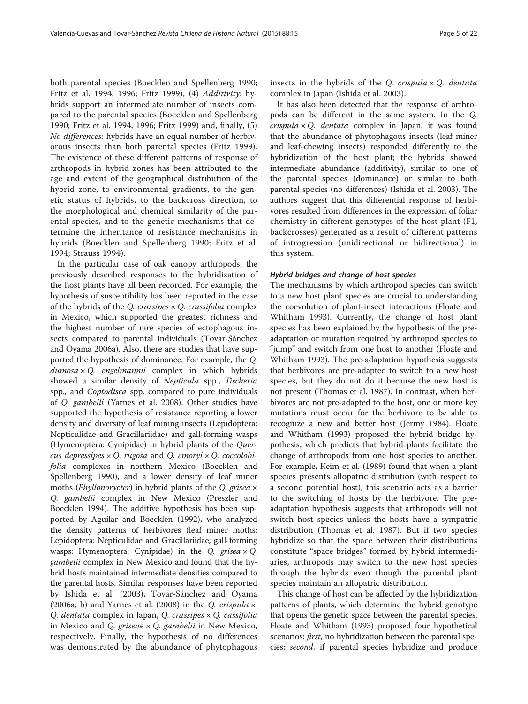both parental species (Boecklen and Spellenberg [1990](#page-16-0); Fritz et al. [1994](#page-17-0), [1996;](#page-17-0) Fritz [1999](#page-17-0)), (4) Additivity: hybrids support an intermediate number of insects compared to the parental species (Boecklen and Spellenberg [1990;](#page-16-0) Fritz et al. [1994](#page-17-0), [1996](#page-17-0); Fritz [1999](#page-17-0)) and, finally, (5) No differences: hybrids have an equal number of herbivorous insects than both parental species (Fritz [1999](#page-17-0)). The existence of these different patterns of response of arthropods in hybrid zones has been attributed to the age and extent of the geographical distribution of the hybrid zone, to environmental gradients, to the genetic status of hybrids, to the backcross direction, to the morphological and chemical similarity of the parental species, and to the genetic mechanisms that determine the inheritance of resistance mechanisms in hybrids (Boecklen and Spellenberg [1990;](#page-16-0) Fritz et al. [1994](#page-17-0); Strauss [1994](#page-20-0)).

In the particular case of oak canopy arthropods, the previously described responses to the hybridization of the host plants have all been recorded. For example, the hypothesis of susceptibility has been reported in the case of the hybrids of the Q. crassipes  $\times$  Q. crassifolia complex in Mexico, which supported the greatest richness and the highest number of rare species of ectophagous insects compared to parental individuals (Tovar-Sánchez and Oyama [2006a\)](#page-20-0). Also, there are studies that have supported the hypothesis of dominance. For example, the Q.  $dumosa \times Q$ . engelmannii complex in which hybrids showed a similar density of Nepticula spp., Tischeria spp., and *Coptodisca* spp. compared to pure individuals of Q. gambelli (Yarnes et al. [2008](#page-21-0)). Other studies have supported the hypothesis of resistance reporting a lower density and diversity of leaf mining insects (Lepidoptera: Nepticulidae and Gracillariidae) and gall-forming wasps (Hymenoptera: Cynipidae) in hybrid plants of the Quercus depressipes  $\times Q$ . rugosa and Q. emoryi  $\times Q$ . coccolobifolia complexes in northern Mexico (Boecklen and Spellenberg [1990](#page-16-0)), and a lower density of leaf miner moths (*Phyllonorycter*) in hybrid plants of the *Q. grisea*  $\times$ Q. gambelii complex in New Mexico (Preszler and Boecklen [1994\)](#page-19-0). The additive hypothesis has been supported by Aguilar and Boecklen [\(1992\)](#page-16-0), who analyzed the density patterns of herbivores (leaf miner moths: Lepidoptera: Nepticulidae and Gracillariidae; gall-forming wasps: Hymenoptera: Cynipidae) in the Q. grisea  $\times$  Q. gambelii complex in New Mexico and found that the hybrid hosts maintained intermediate densities compared to the parental hosts. Similar responses have been reported by Ishida et al. ([2003\)](#page-18-0), Tovar-Sánchez and Oyama ([2006a](#page-20-0), [b\)](#page-20-0) and Yarnes et al. ([2008\)](#page-21-0) in the Q. crispula  $\times$ Q. dentata complex in Japan, Q. crassipes  $\times$  Q. cassifolia in Mexico and Q. griseae  $\times$  Q. gambelii in New Mexico, respectively. Finally, the hypothesis of no differences was demonstrated by the abundance of phytophagous insects in the hybrids of the Q. crispula  $\times$  Q. dentata complex in Japan (Ishida et al. [2003\)](#page-18-0).

It has also been detected that the response of arthropods can be different in the same system. In the Q. *crispula*  $\times$  *Q. dentata* complex in Japan, it was found that the abundance of phytophagous insects (leaf miner and leaf-chewing insects) responded differently to the hybridization of the host plant; the hybrids showed intermediate abundance (additivity), similar to one of the parental species (dominance) or similar to both parental species (no differences) (Ishida et al. [2003\)](#page-18-0). The authors suggest that this differential response of herbivores resulted from differences in the expression of foliar chemistry in different genotypes of the host plant (F1, backcrosses) generated as a result of different patterns of introgression (unidirectional or bidirectional) in this system.

#### Hybrid bridges and change of host species

The mechanisms by which arthropod species can switch to a new host plant species are crucial to understanding the coevolution of plant-insect interactions (Floate and Whitham [1993\)](#page-17-0). Currently, the change of host plant species has been explained by the hypothesis of the preadaptation or mutation required by arthropod species to "jump" and switch from one host to another (Floate and Whitham [1993\)](#page-17-0). The pre-adaptation hypothesis suggests that herbivores are pre-adapted to switch to a new host species, but they do not do it because the new host is not present (Thomas et al. [1987](#page-20-0)). In contrast, when herbivores are not pre-adapted to the host, one or more key mutations must occur for the herbivore to be able to recognize a new and better host (Jermy [1984](#page-18-0)). Floate and Whitham ([1993](#page-17-0)) proposed the hybrid bridge hypothesis, which predicts that hybrid plants facilitate the change of arthropods from one host species to another. For example, Keim et al. [\(1989](#page-18-0)) found that when a plant species presents allopatric distribution (with respect to a second potential host), this scenario acts as a barrier to the switching of hosts by the herbivore. The preadaptation hypothesis suggests that arthropods will not switch host species unless the hosts have a sympatric distribution (Thomas et al. [1987\)](#page-20-0). But if two species hybridize so that the space between their distributions constitute "space bridges" formed by hybrid intermediaries, arthropods may switch to the new host species through the hybrids even though the parental plant species maintain an allopatric distribution.

This change of host can be affected by the hybridization patterns of plants, which determine the hybrid genotype that opens the genetic space between the parental species. Floate and Whitham [\(1993\)](#page-17-0) proposed four hypothetical scenarios: *first*, no hybridization between the parental species; second, if parental species hybridize and produce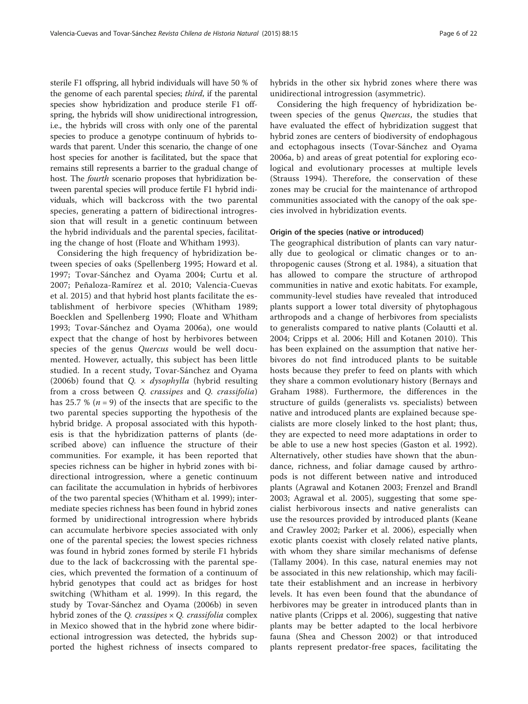sterile F1 offspring, all hybrid individuals will have 50 % of the genome of each parental species; third, if the parental species show hybridization and produce sterile F1 offspring, the hybrids will show unidirectional introgression, i.e., the hybrids will cross with only one of the parental species to produce a genotype continuum of hybrids towards that parent. Under this scenario, the change of one host species for another is facilitated, but the space that remains still represents a barrier to the gradual change of host. The fourth scenario proposes that hybridization between parental species will produce fertile F1 hybrid individuals, which will backcross with the two parental species, generating a pattern of bidirectional introgression that will result in a genetic continuum between the hybrid individuals and the parental species, facilitating the change of host (Floate and Whitham [1993](#page-17-0)).

Considering the high frequency of hybridization between species of oaks (Spellenberg [1995](#page-20-0); Howard et al. [1997;](#page-17-0) Tovar-Sánchez and Oyama [2004;](#page-20-0) Curtu et al. [2007;](#page-16-0) Peñaloza-Ramírez et al. [2010;](#page-19-0) Valencia-Cuevas et al. [2015\)](#page-20-0) and that hybrid host plants facilitate the establishment of herbivore species (Whitham [1989](#page-21-0); Boecklen and Spellenberg [1990;](#page-16-0) Floate and Whitham [1993;](#page-17-0) Tovar-Sánchez and Oyama [2006a](#page-20-0)), one would expect that the change of host by herbivores between species of the genus Quercus would be well documented. However, actually, this subject has been little studied. In a recent study, Tovar-Sánchez and Oyama ([2006b\)](#page-20-0) found that Q.  $\times$  dysophylla (hybrid resulting from a cross between Q. crassipes and Q. crassifolia) has 25.7 % ( $n = 9$ ) of the insects that are specific to the two parental species supporting the hypothesis of the hybrid bridge. A proposal associated with this hypothesis is that the hybridization patterns of plants (described above) can influence the structure of their communities. For example, it has been reported that species richness can be higher in hybrid zones with bidirectional introgression, where a genetic continuum can facilitate the accumulation in hybrids of herbivores of the two parental species (Whitham et al. [1999](#page-21-0)); intermediate species richness has been found in hybrid zones formed by unidirectional introgression where hybrids can accumulate herbivore species associated with only one of the parental species; the lowest species richness was found in hybrid zones formed by sterile F1 hybrids due to the lack of backcrossing with the parental species, which prevented the formation of a continuum of hybrid genotypes that could act as bridges for host switching (Whitham et al. [1999\)](#page-21-0). In this regard, the study by Tovar-Sánchez and Oyama ([2006b\)](#page-20-0) in seven hybrid zones of the *Q. crassipes*  $\times$  *Q. crassifolia* complex in Mexico showed that in the hybrid zone where bidirectional introgression was detected, the hybrids supported the highest richness of insects compared to hybrids in the other six hybrid zones where there was unidirectional introgression (asymmetric).

Considering the high frequency of hybridization between species of the genus Quercus, the studies that have evaluated the effect of hybridization suggest that hybrid zones are centers of biodiversity of endophagous and ectophagous insects (Tovar-Sánchez and Oyama [2006a](#page-20-0), [b\)](#page-20-0) and areas of great potential for exploring ecological and evolutionary processes at multiple levels (Strauss [1994\)](#page-20-0). Therefore, the conservation of these zones may be crucial for the maintenance of arthropod communities associated with the canopy of the oak species involved in hybridization events.

#### Origin of the species (native or introduced)

The geographical distribution of plants can vary naturally due to geological or climatic changes or to anthropogenic causes (Strong et al. [1984](#page-20-0)), a situation that has allowed to compare the structure of arthropod communities in native and exotic habitats. For example, community-level studies have revealed that introduced plants support a lower total diversity of phytophagous arthropods and a change of herbivores from specialists to generalists compared to native plants (Colautti et al. [2004;](#page-16-0) Cripps et al. [2006](#page-16-0); Hill and Kotanen [2010\)](#page-17-0). This has been explained on the assumption that native herbivores do not find introduced plants to be suitable hosts because they prefer to feed on plants with which they share a common evolutionary history (Bernays and Graham [1988](#page-16-0)). Furthermore, the differences in the structure of guilds (generalists vs. specialists) between native and introduced plants are explained because specialists are more closely linked to the host plant; thus, they are expected to need more adaptations in order to be able to use a new host species (Gaston et al. [1992](#page-17-0)). Alternatively, other studies have shown that the abundance, richness, and foliar damage caused by arthropods is not different between native and introduced plants (Agrawal and Kotanen [2003](#page-16-0); Frenzel and Brandl [2003;](#page-17-0) Agrawal et al. [2005](#page-16-0)), suggesting that some specialist herbivorous insects and native generalists can use the resources provided by introduced plants (Keane and Crawley [2002](#page-18-0); Parker et al. [2006](#page-19-0)), especially when exotic plants coexist with closely related native plants, with whom they share similar mechanisms of defense (Tallamy [2004](#page-20-0)). In this case, natural enemies may not be associated in this new relationship, which may facilitate their establishment and an increase in herbivory levels. It has even been found that the abundance of herbivores may be greater in introduced plants than in native plants (Cripps et al. [2006\)](#page-16-0), suggesting that native plants may be better adapted to the local herbivore fauna (Shea and Chesson [2002\)](#page-20-0) or that introduced plants represent predator-free spaces, facilitating the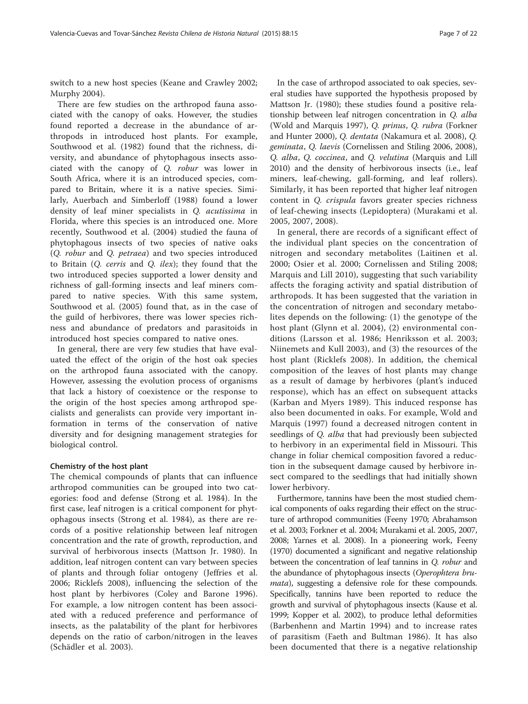switch to a new host species (Keane and Crawley [2002](#page-18-0); Murphy [2004\)](#page-19-0).

There are few studies on the arthropod fauna associated with the canopy of oaks. However, the studies found reported a decrease in the abundance of arthropods in introduced host plants. For example, Southwood et al. ([1982\)](#page-20-0) found that the richness, diversity, and abundance of phytophagous insects associated with the canopy of Q. robur was lower in South Africa, where it is an introduced species, compared to Britain, where it is a native species. Similarly, Auerbach and Simberloff ([1988\)](#page-16-0) found a lower density of leaf miner specialists in Q. acutissima in Florida, where this species is an introduced one. More recently, Southwood et al. [\(2004](#page-20-0)) studied the fauna of phytophagous insects of two species of native oaks (Q. robur and Q. petraea) and two species introduced to Britain (Q. cerris and Q. ilex); they found that the two introduced species supported a lower density and richness of gall-forming insects and leaf miners compared to native species. With this same system, Southwood et al. [\(2005](#page-20-0)) found that, as in the case of the guild of herbivores, there was lower species richness and abundance of predators and parasitoids in introduced host species compared to native ones.

In general, there are very few studies that have evaluated the effect of the origin of the host oak species on the arthropod fauna associated with the canopy. However, assessing the evolution process of organisms that lack a history of coexistence or the response to the origin of the host species among arthropod specialists and generalists can provide very important information in terms of the conservation of native diversity and for designing management strategies for biological control.

#### Chemistry of the host plant

The chemical compounds of plants that can influence arthropod communities can be grouped into two categories: food and defense (Strong et al. [1984\)](#page-20-0). In the first case, leaf nitrogen is a critical component for phytophagous insects (Strong et al. [1984\)](#page-20-0), as there are records of a positive relationship between leaf nitrogen concentration and the rate of growth, reproduction, and survival of herbivorous insects (Mattson Jr. [1980](#page-18-0)). In addition, leaf nitrogen content can vary between species of plants and through foliar ontogeny (Jeffries et al. [2006;](#page-18-0) Ricklefs [2008\)](#page-19-0), influencing the selection of the host plant by herbivores (Coley and Barone [1996](#page-16-0)). For example, a low nitrogen content has been associated with a reduced preference and performance of insects, as the palatability of the plant for herbivores depends on the ratio of carbon/nitrogen in the leaves (Schädler et al. [2003\)](#page-19-0).

In the case of arthropod associated to oak species, several studies have supported the hypothesis proposed by Mattson Jr. ([1980](#page-18-0)); these studies found a positive relationship between leaf nitrogen concentration in Q. alba (Wold and Marquis [1997](#page-21-0)), Q. prinus, Q. rubra (Forkner and Hunter [2000\)](#page-17-0), Q. dentata (Nakamura et al. [2008\)](#page-19-0), Q. geminata, Q. laevis (Cornelissen and Stiling [2006](#page-16-0), [2008](#page-16-0)), Q. alba, Q. coccinea, and Q. velutina (Marquis and Lill [2010](#page-18-0)) and the density of herbivorous insects (i.e., leaf miners, leaf-chewing, gall-forming, and leaf rollers). Similarly, it has been reported that higher leaf nitrogen content in Q. crispula favors greater species richness of leaf-chewing insects (Lepidoptera) (Murakami et al. [2005, 2007](#page-19-0), [2008\)](#page-19-0).

In general, there are records of a significant effect of the individual plant species on the concentration of nitrogen and secondary metabolites (Laitinen et al. [2000](#page-18-0); Osier et al. [2000;](#page-19-0) Cornelissen and Stiling [2008](#page-16-0); Marquis and Lill [2010\)](#page-18-0), suggesting that such variability affects the foraging activity and spatial distribution of arthropods. It has been suggested that the variation in the concentration of nitrogen and secondary metabolites depends on the following: (1) the genotype of the host plant (Glynn et al. [2004\)](#page-17-0), (2) environmental conditions (Larsson et al. [1986;](#page-18-0) Henriksson et al. [2003](#page-17-0); Niinemets and Kull [2003](#page-19-0)), and (3) the resources of the host plant (Ricklefs [2008\)](#page-19-0). In addition, the chemical composition of the leaves of host plants may change as a result of damage by herbivores (plant's induced response), which has an effect on subsequent attacks (Karban and Myers [1989\)](#page-18-0). This induced response has also been documented in oaks. For example, Wold and Marquis ([1997\)](#page-21-0) found a decreased nitrogen content in seedlings of Q. alba that had previously been subjected to herbivory in an experimental field in Missouri. This change in foliar chemical composition favored a reduction in the subsequent damage caused by herbivore insect compared to the seedlings that had initially shown lower herbivory.

Furthermore, tannins have been the most studied chemical components of oaks regarding their effect on the structure of arthropod communities (Feeny [1970](#page-17-0); Abrahamson et al. [2003;](#page-16-0) Forkner et al. [2004;](#page-17-0) Murakami et al. [2005, 2007](#page-19-0), [2008;](#page-19-0) Yarnes et al. [2008\)](#page-21-0). In a pioneering work, Feeny ([1970\)](#page-17-0) documented a significant and negative relationship between the concentration of leaf tannins in Q. robur and the abundance of phytophagous insects (Operophtera bru*mata*), suggesting a defensive role for these compounds. Specifically, tannins have been reported to reduce the growth and survival of phytophagous insects (Kause et al. [1999;](#page-18-0) Kopper et al. [2002](#page-18-0)), to produce lethal deformities (Barbenhenn and Martin [1994\)](#page-16-0) and to increase rates of parasitism (Faeth and Bultman [1986](#page-17-0)). It has also been documented that there is a negative relationship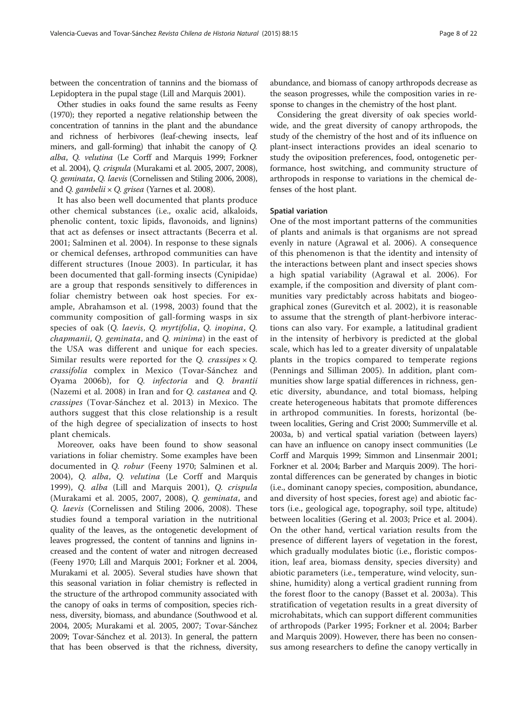between the concentration of tannins and the biomass of Lepidoptera in the pupal stage (Lill and Marquis [2001\)](#page-18-0).

Other studies in oaks found the same results as Feeny ([1970\)](#page-17-0); they reported a negative relationship between the concentration of tannins in the plant and the abundance and richness of herbivores (leaf-chewing insects, leaf miners, and gall-forming) that inhabit the canopy of Q. alba, Q. velutina (Le Corff and Marquis [1999](#page-18-0); Forkner et al. [2004](#page-17-0)), Q. crispula (Murakami et al. [2005, 2007, 2008](#page-19-0)), Q. geminata, Q. laevis (Cornelissen and Stiling [2006, 2008](#page-16-0)), and Q. gambelii  $\times$  Q. grisea (Yarnes et al. [2008](#page-21-0)).

It has also been well documented that plants produce other chemical substances (i.e., oxalic acid, alkaloids, phenolic content, toxic lipids, flavonoids, and lignins) that act as defenses or insect attractants (Becerra et al. [2001;](#page-16-0) Salminen et al. [2004\)](#page-19-0). In response to these signals or chemical defenses, arthropod communities can have different structures (Inoue [2003\)](#page-18-0). In particular, it has been documented that gall-forming insects (Cynipidae) are a group that responds sensitively to differences in foliar chemistry between oak host species. For example, Abrahamson et al. ([1998,](#page-15-0) [2003](#page-16-0)) found that the community composition of gall-forming wasps in six species of oak (Q. laevis, Q. myrtifolia, Q. inopina, Q. chapmanii, Q. geminata, and Q. minima) in the east of the USA was different and unique for each species. Similar results were reported for the Q. crassipes  $\times$  Q. crassifolia complex in Mexico (Tovar-Sánchez and Oyama [2006b](#page-20-0)), for Q. infectoria and Q. brantii (Nazemi et al. [2008\)](#page-19-0) in Iran and for Q. castanea and Q. crassipes (Tovar-Sánchez et al. [2013](#page-20-0)) in Mexico. The authors suggest that this close relationship is a result of the high degree of specialization of insects to host plant chemicals.

Moreover, oaks have been found to show seasonal variations in foliar chemistry. Some examples have been documented in Q. robur (Feeny [1970](#page-17-0); Salminen et al. [2004\)](#page-19-0), Q. alba, Q. velutina (Le Corff and Marquis [1999\)](#page-18-0), Q. alba (Lill and Marquis [2001](#page-18-0)), Q. crispula (Murakami et al. [2005](#page-19-0), [2007, 2008](#page-19-0)), Q. geminata, and Q. laevis (Cornelissen and Stiling [2006](#page-16-0), [2008](#page-16-0)). These studies found a temporal variation in the nutritional quality of the leaves, as the ontogenetic development of leaves progressed, the content of tannins and lignins increased and the content of water and nitrogen decreased (Feeny [1970](#page-17-0); Lill and Marquis [2001;](#page-18-0) Forkner et al. [2004](#page-17-0), Murakami et al. [2005](#page-19-0)). Several studies have shown that this seasonal variation in foliar chemistry is reflected in the structure of the arthropod community associated with the canopy of oaks in terms of composition, species richness, diversity, biomass, and abundance (Southwood et al. [2004, 2005;](#page-20-0) Murakami et al. [2005, 2007;](#page-19-0) Tovar-Sánchez [2009;](#page-20-0) Tovar-Sánchez et al. [2013\)](#page-20-0). In general, the pattern that has been observed is that the richness, diversity,

abundance, and biomass of canopy arthropods decrease as the season progresses, while the composition varies in response to changes in the chemistry of the host plant.

Considering the great diversity of oak species worldwide, and the great diversity of canopy arthropods, the study of the chemistry of the host and of its influence on plant-insect interactions provides an ideal scenario to study the oviposition preferences, food, ontogenetic performance, host switching, and community structure of arthropods in response to variations in the chemical defenses of the host plant.

#### Spatial variation

One of the most important patterns of the communities of plants and animals is that organisms are not spread evenly in nature (Agrawal et al. [2006\)](#page-16-0). A consequence of this phenomenon is that the identity and intensity of the interactions between plant and insect species shows a high spatial variability (Agrawal et al. [2006\)](#page-16-0). For example, if the composition and diversity of plant communities vary predictably across habitats and biogeographical zones (Gurevitch et al. [2002\)](#page-17-0), it is reasonable to assume that the strength of plant-herbivore interactions can also vary. For example, a latitudinal gradient in the intensity of herbivory is predicted at the global scale, which has led to a greater diversity of unpalatable plants in the tropics compared to temperate regions (Pennings and Silliman [2005\)](#page-19-0). In addition, plant communities show large spatial differences in richness, genetic diversity, abundance, and total biomass, helping create heterogeneous habitats that promote differences in arthropod communities. In forests, horizontal (between localities, Gering and Crist [2000;](#page-17-0) Summerville et al. [2003a](#page-20-0), [b](#page-20-0)) and vertical spatial variation (between layers) can have an influence on canopy insect communities (Le Corff and Marquis [1999](#page-18-0); Simmon and Linsenmair [2001](#page-20-0); Forkner et al. [2004](#page-17-0); Barber and Marquis [2009](#page-16-0)). The horizontal differences can be generated by changes in biotic (i.e., dominant canopy species, composition, abundance, and diversity of host species, forest age) and abiotic factors (i.e., geological age, topography, soil type, altitude) between localities (Gering et al. [2003](#page-17-0); Price et al. [2004](#page-19-0)). On the other hand, vertical variation results from the presence of different layers of vegetation in the forest, which gradually modulates biotic (i.e., floristic composition, leaf area, biomass density, species diversity) and abiotic parameters (i.e., temperature, wind velocity, sunshine, humidity) along a vertical gradient running from the forest floor to the canopy (Basset et al. [2003a\)](#page-16-0). This stratification of vegetation results in a great diversity of microhabitats, which can support different communities of arthropods (Parker [1995](#page-19-0); Forkner et al. [2004](#page-17-0); Barber and Marquis [2009](#page-16-0)). However, there has been no consensus among researchers to define the canopy vertically in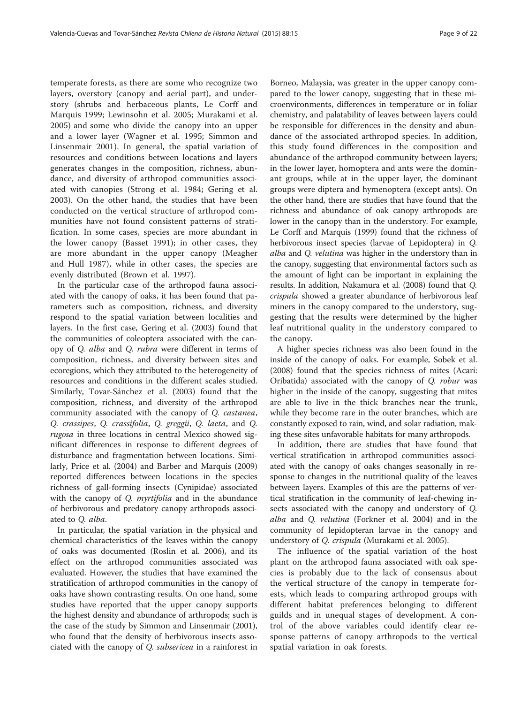temperate forests, as there are some who recognize two layers, overstory (canopy and aerial part), and understory (shrubs and herbaceous plants, Le Corff and Marquis [1999](#page-18-0); Lewinsohn et al. [2005;](#page-18-0) Murakami et al. [2005\)](#page-19-0) and some who divide the canopy into an upper and a lower layer (Wagner et al. [1995](#page-21-0); Simmon and Linsenmair [2001\)](#page-20-0). In general, the spatial variation of resources and conditions between locations and layers generates changes in the composition, richness, abundance, and diversity of arthropod communities associated with canopies (Strong et al. [1984](#page-20-0); Gering et al. [2003\)](#page-17-0). On the other hand, the studies that have been conducted on the vertical structure of arthropod communities have not found consistent patterns of stratification. In some cases, species are more abundant in the lower canopy (Basset [1991\)](#page-16-0); in other cases, they are more abundant in the upper canopy (Meagher and Hull [1987](#page-19-0)), while in other cases, the species are evenly distributed (Brown et al. [1997](#page-16-0)).

In the particular case of the arthropod fauna associated with the canopy of oaks, it has been found that parameters such as composition, richness, and diversity respond to the spatial variation between localities and layers. In the first case, Gering et al. ([2003](#page-17-0)) found that the communities of coleoptera associated with the canopy of Q. alba and Q. rubra were different in terms of composition, richness, and diversity between sites and ecoregions, which they attributed to the heterogeneity of resources and conditions in the different scales studied. Similarly, Tovar-Sánchez et al. ([2003](#page-20-0)) found that the composition, richness, and diversity of the arthropod community associated with the canopy of Q. castanea, Q. crassipes, Q. crassifolia, Q. greggii, Q. laeta, and Q. rugosa in three locations in central Mexico showed significant differences in response to different degrees of disturbance and fragmentation between locations. Similarly, Price et al. ([2004](#page-19-0)) and Barber and Marquis ([2009](#page-16-0)) reported differences between locations in the species richness of gall-forming insects (Cynipidae) associated with the canopy of Q. *myrtifolia* and in the abundance of herbivorous and predatory canopy arthropods associated to Q. alba.

In particular, the spatial variation in the physical and chemical characteristics of the leaves within the canopy of oaks was documented (Roslin et al. [2006](#page-19-0)), and its effect on the arthropod communities associated was evaluated. However, the studies that have examined the stratification of arthropod communities in the canopy of oaks have shown contrasting results. On one hand, some studies have reported that the upper canopy supports the highest density and abundance of arthropods; such is the case of the study by Simmon and Linsenmair ([2001](#page-20-0)), who found that the density of herbivorous insects associated with the canopy of Q. subsericea in a rainforest in

Borneo, Malaysia, was greater in the upper canopy compared to the lower canopy, suggesting that in these microenvironments, differences in temperature or in foliar chemistry, and palatability of leaves between layers could be responsible for differences in the density and abundance of the associated arthropod species. In addition, this study found differences in the composition and abundance of the arthropod community between layers; in the lower layer, homoptera and ants were the dominant groups, while at in the upper layer, the dominant groups were diptera and hymenoptera (except ants). On the other hand, there are studies that have found that the richness and abundance of oak canopy arthropods are lower in the canopy than in the understory. For example, Le Corff and Marquis [\(1999](#page-18-0)) found that the richness of herbivorous insect species (larvae of Lepidoptera) in Q. alba and Q. velutina was higher in the understory than in the canopy, suggesting that environmental factors such as the amount of light can be important in explaining the results. In addition, Nakamura et al. ([2008](#page-19-0)) found that Q. crispula showed a greater abundance of herbivorous leaf miners in the canopy compared to the understory, suggesting that the results were determined by the higher leaf nutritional quality in the understory compared to the canopy.

A higher species richness was also been found in the inside of the canopy of oaks. For example, Sobek et al. ([2008\)](#page-20-0) found that the species richness of mites (Acari: Oribatida) associated with the canopy of Q. robur was higher in the inside of the canopy, suggesting that mites are able to live in the thick branches near the trunk, while they become rare in the outer branches, which are constantly exposed to rain, wind, and solar radiation, making these sites unfavorable habitats for many arthropods.

In addition, there are studies that have found that vertical stratification in arthropod communities associated with the canopy of oaks changes seasonally in response to changes in the nutritional quality of the leaves between layers. Examples of this are the patterns of vertical stratification in the community of leaf-chewing insects associated with the canopy and understory of Q. alba and Q. velutina (Forkner et al. [2004](#page-17-0)) and in the community of lepidopteran larvae in the canopy and understory of Q. crispula (Murakami et al. [2005](#page-19-0)).

The influence of the spatial variation of the host plant on the arthropod fauna associated with oak species is probably due to the lack of consensus about the vertical structure of the canopy in temperate forests, which leads to comparing arthropod groups with different habitat preferences belonging to different guilds and in unequal stages of development. A control of the above variables could identify clear response patterns of canopy arthropods to the vertical spatial variation in oak forests.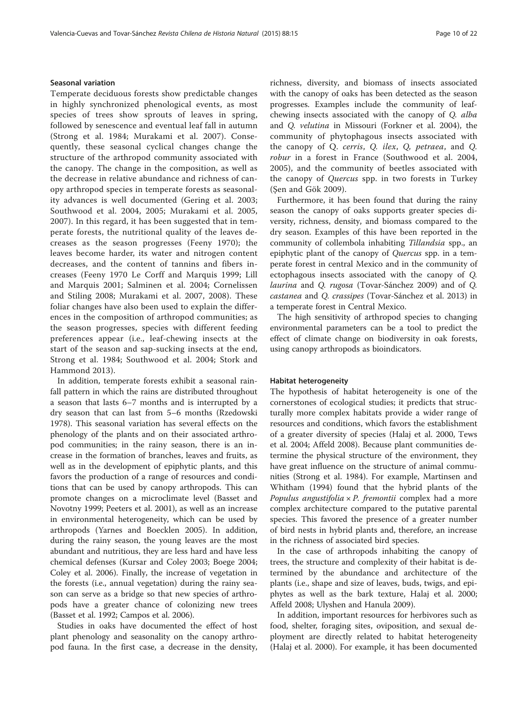#### Seasonal variation

Temperate deciduous forests show predictable changes in highly synchronized phenological events, as most species of trees show sprouts of leaves in spring, followed by senescence and eventual leaf fall in autumn (Strong et al. [1984;](#page-20-0) Murakami et al. [2007\)](#page-19-0). Consequently, these seasonal cyclical changes change the structure of the arthropod community associated with the canopy. The change in the composition, as well as the decrease in relative abundance and richness of canopy arthropod species in temperate forests as seasonality advances is well documented (Gering et al. [2003](#page-17-0); Southwood et al. [2004](#page-20-0), [2005;](#page-20-0) Murakami et al. [2005](#page-19-0), [2007\)](#page-19-0). In this regard, it has been suggested that in temperate forests, the nutritional quality of the leaves decreases as the season progresses (Feeny [1970\)](#page-17-0); the leaves become harder, its water and nitrogen content decreases, and the content of tannins and fibers increases (Feeny [1970](#page-17-0) Le Corff and Marquis [1999;](#page-18-0) Lill and Marquis [2001;](#page-18-0) Salminen et al. [2004](#page-19-0); Cornelissen and Stiling [2008](#page-16-0); Murakami et al. [2007, 2008\)](#page-19-0). These foliar changes have also been used to explain the differences in the composition of arthropod communities; as the season progresses, species with different feeding preferences appear (i.e., leaf-chewing insects at the start of the season and sap-sucking insects at the end, Strong et al. [1984;](#page-20-0) Southwood et al. [2004](#page-20-0); Stork and Hammond [2013\)](#page-20-0).

In addition, temperate forests exhibit a seasonal rainfall pattern in which the rains are distributed throughout a season that lasts 6–7 months and is interrupted by a dry season that can last from 5–6 months (Rzedowski [1978](#page-19-0)). This seasonal variation has several effects on the phenology of the plants and on their associated arthropod communities; in the rainy season, there is an increase in the formation of branches, leaves and fruits, as well as in the development of epiphytic plants, and this favors the production of a range of resources and conditions that can be used by canopy arthropods. This can promote changes on a microclimate level (Basset and Novotny [1999;](#page-16-0) Peeters et al. [2001](#page-19-0)), as well as an increase in environmental heterogeneity, which can be used by arthropods (Yarnes and Boecklen [2005](#page-21-0)). In addition, during the rainy season, the young leaves are the most abundant and nutritious, they are less hard and have less chemical defenses (Kursar and Coley [2003;](#page-18-0) Boege [2004](#page-16-0); Coley et al. [2006](#page-16-0)). Finally, the increase of vegetation in the forests (i.e., annual vegetation) during the rainy season can serve as a bridge so that new species of arthropods have a greater chance of colonizing new trees (Basset et al. [1992;](#page-16-0) Campos et al. [2006](#page-16-0)).

Studies in oaks have documented the effect of host plant phenology and seasonality on the canopy arthropod fauna. In the first case, a decrease in the density,

richness, diversity, and biomass of insects associated with the canopy of oaks has been detected as the season progresses. Examples include the community of leafchewing insects associated with the canopy of Q. alba and Q. velutina in Missouri (Forkner et al. [2004\)](#page-17-0), the community of phytophagous insects associated with the canopy of Q. cerris, Q. ilex, Q, petraea, and Q. robur in a forest in France (Southwood et al. [2004](#page-20-0), [2005\)](#page-20-0), and the community of beetles associated with the canopy of Quercus spp. in two forests in Turkey (Şen and Gök [2009\)](#page-20-0).

Furthermore, it has been found that during the rainy season the canopy of oaks supports greater species diversity, richness, density, and biomass compared to the dry season. Examples of this have been reported in the community of collembola inhabiting Tillandsia spp., an epiphytic plant of the canopy of Quercus spp. in a temperate forest in central Mexico and in the community of ectophagous insects associated with the canopy of Q. laurina and Q. rugosa (Tovar-Sánchez [2009\)](#page-20-0) and of Q. castanea and Q. crassipes (Tovar-Sánchez et al. [2013](#page-20-0)) in a temperate forest in Central Mexico.

The high sensitivity of arthropod species to changing environmental parameters can be a tool to predict the effect of climate change on biodiversity in oak forests, using canopy arthropods as bioindicators.

#### Habitat heterogeneity

The hypothesis of habitat heterogeneity is one of the cornerstones of ecological studies; it predicts that structurally more complex habitats provide a wider range of resources and conditions, which favors the establishment of a greater diversity of species (Halaj et al. [2000,](#page-17-0) Tews et al. [2004;](#page-20-0) Affeld [2008\)](#page-16-0). Because plant communities determine the physical structure of the environment, they have great influence on the structure of animal communities (Strong et al. [1984\)](#page-20-0). For example, Martinsen and Whitham [\(1994\)](#page-18-0) found that the hybrid plants of the Populus angustifolia  $\times$  P. fremontii complex had a more complex architecture compared to the putative parental species. This favored the presence of a greater number of bird nests in hybrid plants and, therefore, an increase in the richness of associated bird species.

In the case of arthropods inhabiting the canopy of trees, the structure and complexity of their habitat is determined by the abundance and architecture of the plants (i.e., shape and size of leaves, buds, twigs, and epiphytes as well as the bark texture, Halaj et al. [2000](#page-17-0); Affeld [2008](#page-16-0); Ulyshen and Hanula [2009](#page-20-0)).

In addition, important resources for herbivores such as food, shelter, foraging sites, oviposition, and sexual deployment are directly related to habitat heterogeneity (Halaj et al. [2000\)](#page-17-0). For example, it has been documented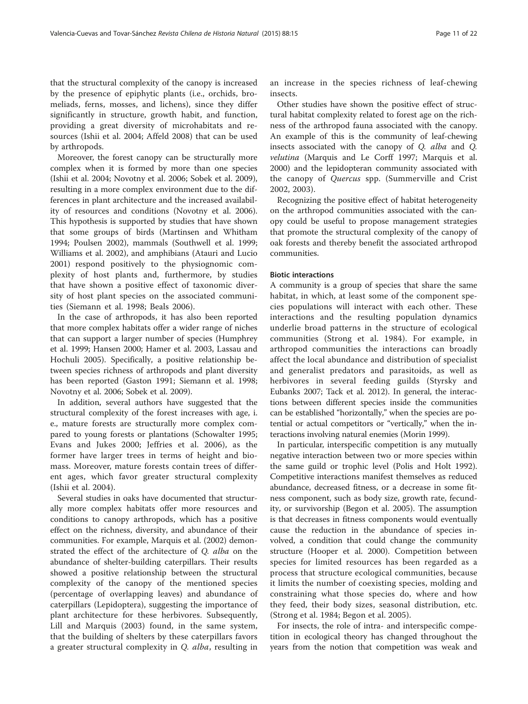that the structural complexity of the canopy is increased by the presence of epiphytic plants (i.e., orchids, bromeliads, ferns, mosses, and lichens), since they differ significantly in structure, growth habit, and function, providing a great diversity of microhabitats and resources (Ishii et al. [2004;](#page-18-0) Affeld [2008](#page-16-0)) that can be used by arthropods.

Moreover, the forest canopy can be structurally more complex when it is formed by more than one species (Ishii et al. [2004](#page-18-0); Novotny et al. [2006;](#page-19-0) Sobek et al. [2009](#page-20-0)), resulting in a more complex environment due to the differences in plant architecture and the increased availability of resources and conditions (Novotny et al. [2006](#page-19-0)). This hypothesis is supported by studies that have shown that some groups of birds (Martinsen and Whitham [1994](#page-18-0); Poulsen [2002\)](#page-19-0), mammals (Southwell et al. [1999](#page-20-0); Williams et al. [2002](#page-21-0)), and amphibians (Atauri and Lucio [2001](#page-16-0)) respond positively to the physiognomic complexity of host plants and, furthermore, by studies that have shown a positive effect of taxonomic diversity of host plant species on the associated communities (Siemann et al. [1998](#page-20-0); Beals [2006\)](#page-16-0).

In the case of arthropods, it has also been reported that more complex habitats offer a wider range of niches that can support a larger number of species (Humphrey et al. [1999;](#page-17-0) Hansen [2000](#page-17-0); Hamer et al. [2003](#page-17-0), Lassau and Hochuli [2005](#page-18-0)). Specifically, a positive relationship between species richness of arthropods and plant diversity has been reported (Gaston [1991;](#page-17-0) Siemann et al. [1998](#page-20-0); Novotny et al. [2006;](#page-19-0) Sobek et al. [2009\)](#page-20-0).

In addition, several authors have suggested that the structural complexity of the forest increases with age, i. e., mature forests are structurally more complex compared to young forests or plantations (Schowalter [1995](#page-19-0); Evans and Jukes [2000](#page-17-0); Jeffries et al. [2006\)](#page-18-0), as the former have larger trees in terms of height and biomass. Moreover, mature forests contain trees of different ages, which favor greater structural complexity (Ishii et al. [2004\)](#page-18-0).

Several studies in oaks have documented that structurally more complex habitats offer more resources and conditions to canopy arthropods, which has a positive effect on the richness, diversity, and abundance of their communities. For example, Marquis et al. ([2002\)](#page-18-0) demonstrated the effect of the architecture of Q. alba on the abundance of shelter-building caterpillars. Their results showed a positive relationship between the structural complexity of the canopy of the mentioned species (percentage of overlapping leaves) and abundance of caterpillars (Lepidoptera), suggesting the importance of plant architecture for these herbivores. Subsequently, Lill and Marquis ([2003](#page-18-0)) found, in the same system, that the building of shelters by these caterpillars favors a greater structural complexity in Q. alba, resulting in

an increase in the species richness of leaf-chewing insects.

Other studies have shown the positive effect of structural habitat complexity related to forest age on the richness of the arthropod fauna associated with the canopy. An example of this is the community of leaf-chewing insects associated with the canopy of Q. alba and Q. velutina (Marquis and Le Corff [1997;](#page-18-0) Marquis et al. [2000](#page-18-0)) and the lepidopteran community associated with the canopy of Quercus spp. (Summerville and Crist [2002, 2003](#page-20-0)).

Recognizing the positive effect of habitat heterogeneity on the arthropod communities associated with the canopy could be useful to propose management strategies that promote the structural complexity of the canopy of oak forests and thereby benefit the associated arthropod communities.

#### Biotic interactions

A community is a group of species that share the same habitat, in which, at least some of the component species populations will interact with each other. These interactions and the resulting population dynamics underlie broad patterns in the structure of ecological communities (Strong et al. [1984\)](#page-20-0). For example, in arthropod communities the interactions can broadly affect the local abundance and distribution of specialist and generalist predators and parasitoids, as well as herbivores in several feeding guilds (Styrsky and Eubanks [2007;](#page-20-0) Tack et al. [2012](#page-20-0)). In general, the interactions between different species inside the communities can be established "horizontally," when the species are potential or actual competitors or "vertically," when the interactions involving natural enemies (Morin [1999](#page-19-0)).

In particular, interspecific competition is any mutually negative interaction between two or more species within the same guild or trophic level (Polis and Holt [1992](#page-19-0)). Competitive interactions manifest themselves as reduced abundance, decreased fitness, or a decrease in some fitness component, such as body size, growth rate, fecundity, or survivorship (Begon et al. [2005\)](#page-16-0). The assumption is that decreases in fitness components would eventually cause the reduction in the abundance of species involved, a condition that could change the community structure (Hooper et al. [2000\)](#page-17-0). Competition between species for limited resources has been regarded as a process that structure ecological communities, because it limits the number of coexisting species, molding and constraining what those species do, where and how they feed, their body sizes, seasonal distribution, etc. (Strong et al. [1984;](#page-20-0) Begon et al. [2005](#page-16-0)).

For insects, the role of intra- and interspecific competition in ecological theory has changed throughout the years from the notion that competition was weak and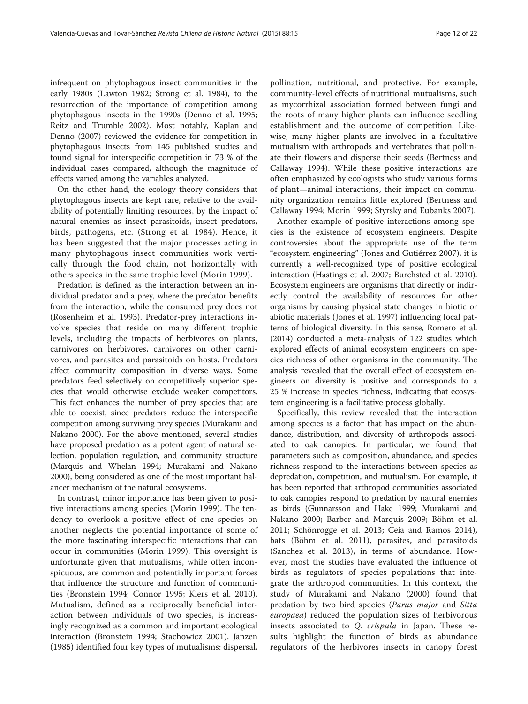infrequent on phytophagous insect communities in the early 1980s (Lawton [1982](#page-18-0); Strong et al. [1984\)](#page-20-0), to the resurrection of the importance of competition among phytophagous insects in the 1990s (Denno et al. [1995](#page-16-0); Reitz and Trumble [2002](#page-19-0)). Most notably, Kaplan and Denno [\(2007\)](#page-18-0) reviewed the evidence for competition in phytophagous insects from 145 published studies and found signal for interspecific competition in 73 % of the individual cases compared, although the magnitude of effects varied among the variables analyzed.

On the other hand, the ecology theory considers that phytophagous insects are kept rare, relative to the availability of potentially limiting resources, by the impact of natural enemies as insect parasitoids, insect predators, birds, pathogens, etc. (Strong et al. [1984\)](#page-20-0). Hence, it has been suggested that the major processes acting in many phytophagous insect communities work vertically through the food chain, not horizontally with others species in the same trophic level (Morin [1999](#page-19-0)).

Predation is defined as the interaction between an individual predator and a prey, where the predator benefits from the interaction, while the consumed prey does not (Rosenheim et al. [1993\)](#page-19-0). Predator-prey interactions involve species that reside on many different trophic levels, including the impacts of herbivores on plants, carnivores on herbivores, carnivores on other carnivores, and parasites and parasitoids on hosts. Predators affect community composition in diverse ways. Some predators feed selectively on competitively superior species that would otherwise exclude weaker competitors. This fact enhances the number of prey species that are able to coexist, since predators reduce the interspecific competition among surviving prey species (Murakami and Nakano [2000](#page-19-0)). For the above mentioned, several studies have proposed predation as a potent agent of natural selection, population regulation, and community structure (Marquis and Whelan [1994;](#page-18-0) Murakami and Nakano [2000\)](#page-19-0), being considered as one of the most important balancer mechanism of the natural ecosystems.

In contrast, minor importance has been given to positive interactions among species (Morin [1999](#page-19-0)). The tendency to overlook a positive effect of one species on another neglects the potential importance of some of the more fascinating interspecific interactions that can occur in communities (Morin [1999](#page-19-0)). This oversight is unfortunate given that mutualisms, while often inconspicuous, are common and potentially important forces that influence the structure and function of communities (Bronstein [1994](#page-16-0); Connor [1995;](#page-16-0) Kiers et al. [2010](#page-18-0)). Mutualism, defined as a reciprocally beneficial interaction between individuals of two species, is increasingly recognized as a common and important ecological interaction (Bronstein [1994;](#page-16-0) Stachowicz [2001\)](#page-20-0). Janzen ([1985\)](#page-18-0) identified four key types of mutualisms: dispersal,

pollination, nutritional, and protective. For example, community-level effects of nutritional mutualisms, such as mycorrhizal association formed between fungi and the roots of many higher plants can influence seedling establishment and the outcome of competition. Likewise, many higher plants are involved in a facultative mutualism with arthropods and vertebrates that pollinate their flowers and disperse their seeds (Bertness and Callaway [1994\)](#page-16-0). While these positive interactions are often emphasized by ecologists who study various forms of plant—animal interactions, their impact on community organization remains little explored (Bertness and Callaway [1994](#page-16-0); Morin [1999](#page-19-0); Styrsky and Eubanks [2007](#page-20-0)).

Another example of positive interactions among species is the existence of ecosystem engineers. Despite controversies about the appropriate use of the term "ecosystem engineering" (Jones and Gutiérrez [2007](#page-18-0)), it is currently a well-recognized type of positive ecological interaction (Hastings et al. [2007;](#page-17-0) Burchsted et al. [2010](#page-16-0)). Ecosystem engineers are organisms that directly or indirectly control the availability of resources for other organisms by causing physical state changes in biotic or abiotic materials (Jones et al. [1997\)](#page-18-0) influencing local patterns of biological diversity. In this sense, Romero et al. ([2014\)](#page-19-0) conducted a meta-analysis of 122 studies which explored effects of animal ecosystem engineers on species richness of other organisms in the community. The analysis revealed that the overall effect of ecosystem engineers on diversity is positive and corresponds to a 25 % increase in species richness, indicating that ecosystem engineering is a facilitative process globally.

Specifically, this review revealed that the interaction among species is a factor that has impact on the abundance, distribution, and diversity of arthropods associated to oak canopies. In particular, we found that parameters such as composition, abundance, and species richness respond to the interactions between species as depredation, competition, and mutualism. For example, it has been reported that arthropod communities associated to oak canopies respond to predation by natural enemies as birds (Gunnarsson and Hake [1999](#page-17-0); Murakami and Nakano [2000;](#page-19-0) Barber and Marquis [2009](#page-16-0); Böhm et al. [2011;](#page-16-0) Schönrogge et al. [2013](#page-19-0); Ceia and Ramos [2014](#page-16-0)), bats (Böhm et al. [2011\)](#page-16-0), parasites, and parasitoids (Sanchez et al. [2013](#page-19-0)), in terms of abundance. However, most the studies have evaluated the influence of birds as regulators of species populations that integrate the arthropod communities. In this context, the study of Murakami and Nakano ([2000\)](#page-19-0) found that predation by two bird species (Parus major and Sitta europaea) reduced the population sizes of herbivorous insects associated to Q. crispula in Japan. These results highlight the function of birds as abundance regulators of the herbivores insects in canopy forest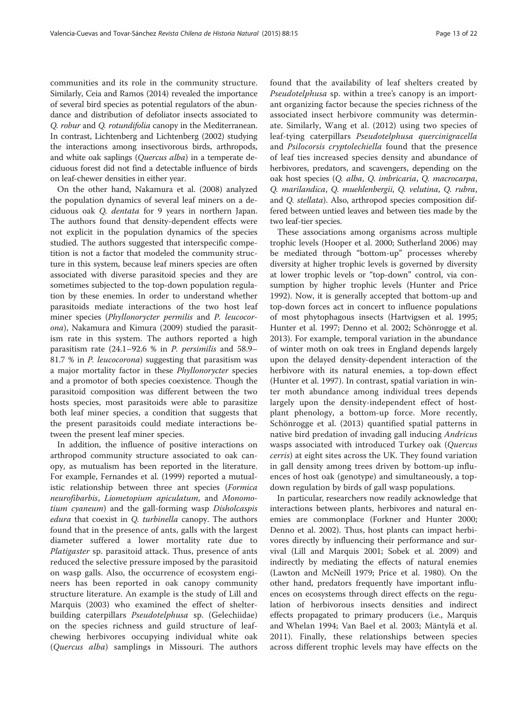communities and its role in the community structure. Similarly, Ceia and Ramos [\(2014](#page-16-0)) revealed the importance of several bird species as potential regulators of the abundance and distribution of defoliator insects associated to Q. robur and Q. rotundifolia canopy in the Mediterranean. In contrast, Lichtenberg and Lichtenberg ([2002](#page-18-0)) studying the interactions among insectivorous birds, arthropods, and white oak saplings (Quercus alba) in a temperate deciduous forest did not find a detectable influence of birds on leaf-chewer densities in either year.

On the other hand, Nakamura et al. [\(2008\)](#page-19-0) analyzed the population dynamics of several leaf miners on a deciduous oak Q. dentata for 9 years in northern Japan. The authors found that density-dependent effects were not explicit in the population dynamics of the species studied. The authors suggested that interspecific competition is not a factor that modeled the community structure in this system, because leaf miners species are often associated with diverse parasitoid species and they are sometimes subjected to the top-down population regulation by these enemies. In order to understand whether parasitoids mediate interactions of the two host leaf miner species (Phyllonorycter permilis and P. leucocorona), Nakamura and Kimura [\(2009](#page-19-0)) studied the parasitism rate in this system. The authors reported a high parasitism rate (24.1–92.6 % in P. persimilis and 58.9– 81.7 % in P. leucocorona) suggesting that parasitism was a major mortality factor in these Phyllonorycter species and a promotor of both species coexistence. Though the parasitoid composition was different between the two hosts species, most parasitoids were able to parasitize both leaf miner species, a condition that suggests that the present parasitoids could mediate interactions between the present leaf miner species.

In addition, the influence of positive interactions on arthropod community structure associated to oak canopy, as mutualism has been reported in the literature. For example, Fernandes et al. ([1999](#page-17-0)) reported a mutualistic relationship between three ant species (Formica neurofibarbis, Liometopium apiculatum, and Monomotium cyaneum) and the gall-forming wasp Disholcaspis edura that coexist in Q. turbinella canopy. The authors found that in the presence of ants, galls with the largest diameter suffered a lower mortality rate due to Platigaster sp. parasitoid attack. Thus, presence of ants reduced the selective pressure imposed by the parasitoid on wasp galls. Also, the occurrence of ecosystem engineers has been reported in oak canopy community structure literature. An example is the study of Lill and Marquis [\(2003](#page-18-0)) who examined the effect of shelterbuilding caterpillars *Pseudotelphusa* sp. (Gelechiidae) on the species richness and guild structure of leafchewing herbivores occupying individual white oak (Quercus alba) samplings in Missouri. The authors

found that the availability of leaf shelters created by Pseudotelphusa sp. within a tree's canopy is an important organizing factor because the species richness of the associated insect herbivore community was determinate. Similarly, Wang et al. ([2012\)](#page-21-0) using two species of leaf-tying caterpillars Pseudotelphusa quercinigracella and Psilocorsis cryptolechiella found that the presence of leaf ties increased species density and abundance of herbivores, predators, and scavengers, depending on the oak host species (Q. alba, Q. imbricaria, Q. macrocarpa, Q. marilandica, Q. muehlenbergii, Q. velutina, Q. rubra, and Q. stellata). Also, arthropod species composition differed between untied leaves and between ties made by the two leaf-tier species.

These associations among organisms across multiple trophic levels (Hooper et al. [2000;](#page-17-0) Sutherland [2006](#page-20-0)) may be mediated through "bottom-up" processes whereby diversity at higher trophic levels is governed by diversity at lower trophic levels or "top-down" control, via consumption by higher trophic levels (Hunter and Price [1992](#page-17-0)). Now, it is generally accepted that bottom-up and top-down forces act in concert to influence populations of most phytophagous insects (Hartvigsen et al. [1995](#page-17-0); Hunter et al. [1997](#page-17-0); Denno et al. [2002](#page-16-0); Schönrogge et al. [2013](#page-19-0)). For example, temporal variation in the abundance of winter moth on oak trees in England depends largely upon the delayed density-dependent interaction of the herbivore with its natural enemies, a top-down effect (Hunter et al. [1997](#page-17-0)). In contrast, spatial variation in winter moth abundance among individual trees depends largely upon the density-independent effect of hostplant phenology, a bottom-up force. More recently, Schönrogge et al. ([2013](#page-19-0)) quantified spatial patterns in native bird predation of invading gall inducing Andricus wasps associated with introduced Turkey oak (Quercus cerris) at eight sites across the UK. They found variation in gall density among trees driven by bottom-up influences of host oak (genotype) and simultaneously, a topdown regulation by birds of gall wasp populations.

In particular, researchers now readily acknowledge that interactions between plants, herbivores and natural enemies are commonplace (Forkner and Hunter [2000](#page-17-0); Denno et al. [2002](#page-16-0)). Thus, host plants can impact herbivores directly by influencing their performance and survival (Lill and Marquis [2001](#page-18-0); Sobek et al. [2009\)](#page-20-0) and indirectly by mediating the effects of natural enemies (Lawton and McNeill [1979](#page-18-0); Price et al. [1980\)](#page-19-0). On the other hand, predators frequently have important influences on ecosystems through direct effects on the regulation of herbivorous insects densities and indirect effects propagated to primary producers (i.e., Marquis and Whelan [1994;](#page-18-0) Van Bael et al. [2003](#page-20-0); Mäntylä et al. [2011\)](#page-18-0). Finally, these relationships between species across different trophic levels may have effects on the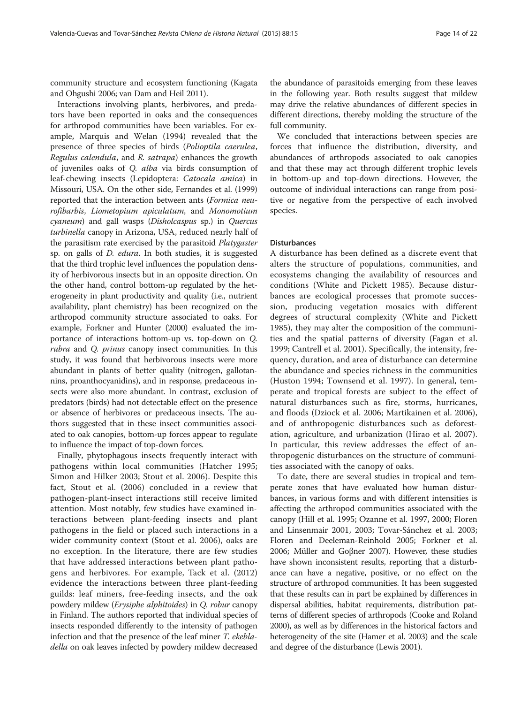community structure and ecosystem functioning (Kagata and Ohgushi [2006](#page-18-0); van Dam and Heil [2011\)](#page-20-0).

Interactions involving plants, herbivores, and predators have been reported in oaks and the consequences for arthropod communities have been variables. For example, Marquis and Welan ([1994\)](#page-18-0) revealed that the presence of three species of birds (Polioptila caerulea, Regulus calendula, and R. satrapa) enhances the growth of juveniles oaks of Q. alba via birds consumption of leaf-chewing insects (Lepidoptera: Catocala amica) in Missouri, USA. On the other side, Fernandes et al. [\(1999](#page-17-0)) reported that the interaction between ants (Formica neurofibarbis, Liometopium apiculatum, and Monomotium cyaneum) and gall wasps (Disholcaspus sp.) in Quercus turbinella canopy in Arizona, USA, reduced nearly half of the parasitism rate exercised by the parasitoid Platygaster sp. on galls of D. edura. In both studies, it is suggested that the third trophic level influences the population density of herbivorous insects but in an opposite direction. On the other hand, control bottom-up regulated by the heterogeneity in plant productivity and quality (i.e., nutrient availability, plant chemistry) has been recognized on the arthropod community structure associated to oaks. For example, Forkner and Hunter ([2000\)](#page-17-0) evaluated the importance of interactions bottom-up vs. top-down on Q. rubra and Q. prinus canopy insect communities. In this study, it was found that herbivorous insects were more abundant in plants of better quality (nitrogen, gallotannins, proanthocyanidins), and in response, predaceous insects were also more abundant. In contrast, exclusion of predators (birds) had not detectable effect on the presence or absence of herbivores or predaceous insects. The authors suggested that in these insect communities associated to oak canopies, bottom-up forces appear to regulate to influence the impact of top-down forces.

Finally, phytophagous insects frequently interact with pathogens within local communities (Hatcher [1995](#page-17-0); Simon and Hilker [2003;](#page-20-0) Stout et al. [2006](#page-20-0)). Despite this fact, Stout et al. ([2006\)](#page-20-0) concluded in a review that pathogen-plant-insect interactions still receive limited attention. Most notably, few studies have examined interactions between plant-feeding insects and plant pathogens in the field or placed such interactions in a wider community context (Stout et al. [2006\)](#page-20-0), oaks are no exception. In the literature, there are few studies that have addressed interactions between plant pathogens and herbivores. For example, Tack et al. ([2012](#page-20-0)) evidence the interactions between three plant-feeding guilds: leaf miners, free-feeding insects, and the oak powdery mildew (Erysiphe alphitoides) in Q. robur canopy in Finland. The authors reported that individual species of insects responded differently to the intensity of pathogen infection and that the presence of the leaf miner T. ekebladella on oak leaves infected by powdery mildew decreased

the abundance of parasitoids emerging from these leaves in the following year. Both results suggest that mildew may drive the relative abundances of different species in different directions, thereby molding the structure of the full community.

We concluded that interactions between species are forces that influence the distribution, diversity, and abundances of arthropods associated to oak canopies and that these may act through different trophic levels in bottom-up and top-down directions. However, the outcome of individual interactions can range from positive or negative from the perspective of each involved species.

#### **Disturbances**

A disturbance has been defined as a discrete event that alters the structure of populations, communities, and ecosystems changing the availability of resources and conditions (White and Pickett [1985\)](#page-21-0). Because disturbances are ecological processes that promote succession, producing vegetation mosaics with different degrees of structural complexity (White and Pickett [1985\)](#page-21-0), they may alter the composition of the communities and the spatial patterns of diversity (Fagan et al. [1999;](#page-17-0) Cantrell et al. [2001](#page-16-0)). Specifically, the intensity, frequency, duration, and area of disturbance can determine the abundance and species richness in the communities (Huston [1994;](#page-18-0) Townsend et al. [1997\)](#page-20-0). In general, temperate and tropical forests are subject to the effect of natural disturbances such as fire, storms, hurricanes, and floods (Dziock et al. [2006](#page-17-0); Martikainen et al. [2006](#page-18-0)), and of anthropogenic disturbances such as deforestation, agriculture, and urbanization (Hirao et al. [2007](#page-17-0)). In particular, this review addresses the effect of anthropogenic disturbances on the structure of communities associated with the canopy of oaks.

To date, there are several studies in tropical and temperate zones that have evaluated how human disturbances, in various forms and with different intensities is affecting the arthropod communities associated with the canopy (Hill et al. [1995](#page-17-0); Ozanne et al. [1997](#page-19-0), [2000](#page-19-0); Floren and Linsenmair [2001, 2003](#page-17-0); Tovar-Sánchez et al. [2003](#page-20-0); Floren and Deeleman-Reinhold [2005](#page-17-0); Forkner et al. [2006](#page-17-0); Müller and Goβner [2007](#page-19-0)). However, these studies have shown inconsistent results, reporting that a disturbance can have a negative, positive, or no effect on the structure of arthropod communities. It has been suggested that these results can in part be explained by differences in dispersal abilities, habitat requirements, distribution patterns of different species of arthropods (Cooke and Roland [2000\)](#page-16-0), as well as by differences in the historical factors and heterogeneity of the site (Hamer et al. [2003\)](#page-17-0) and the scale and degree of the disturbance (Lewis [2001](#page-18-0)).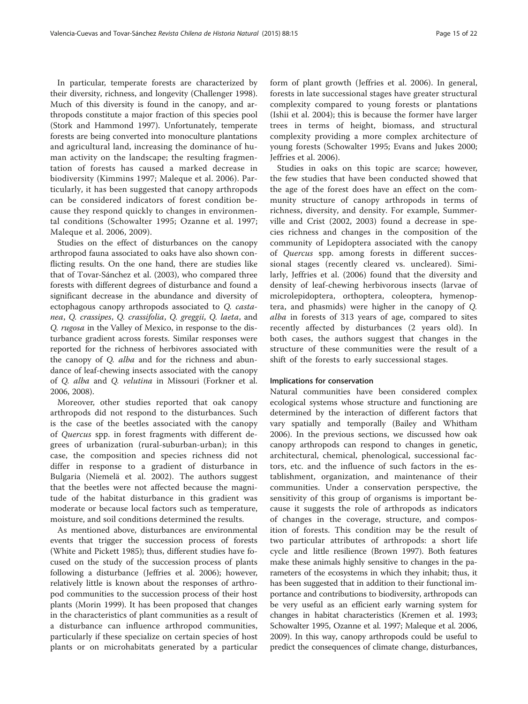In particular, temperate forests are characterized by their diversity, richness, and longevity (Challenger [1998](#page-16-0)). Much of this diversity is found in the canopy, and arthropods constitute a major fraction of this species pool (Stork and Hammond [1997](#page-20-0)). Unfortunately, temperate forests are being converted into monoculture plantations and agricultural land, increasing the dominance of human activity on the landscape; the resulting fragmentation of forests has caused a marked decrease in biodiversity (Kimmins [1997;](#page-18-0) Maleque et al. [2006](#page-18-0)). Particularly, it has been suggested that canopy arthropods can be considered indicators of forest condition because they respond quickly to changes in environmental conditions (Schowalter [1995;](#page-19-0) Ozanne et al. [1997](#page-19-0); Maleque et al. [2006](#page-18-0), [2009\)](#page-18-0).

Studies on the effect of disturbances on the canopy arthropod fauna associated to oaks have also shown conflicting results. On the one hand, there are studies like that of Tovar-Sánchez et al. [\(2003\)](#page-20-0), who compared three forests with different degrees of disturbance and found a significant decrease in the abundance and diversity of ectophagous canopy arthropods associated to Q. castanea, Q. crassipes, Q. crassifolia, Q. greggii, Q. laeta, and Q. rugosa in the Valley of Mexico, in response to the disturbance gradient across forests. Similar responses were reported for the richness of herbivores associated with the canopy of Q. alba and for the richness and abundance of leaf-chewing insects associated with the canopy of Q. alba and Q. velutina in Missouri (Forkner et al. [2006](#page-17-0), [2008](#page-17-0)).

Moreover, other studies reported that oak canopy arthropods did not respond to the disturbances. Such is the case of the beetles associated with the canopy of Quercus spp. in forest fragments with different degrees of urbanization (rural-suburban-urban); in this case, the composition and species richness did not differ in response to a gradient of disturbance in Bulgaria (Niemelä et al. [2002\)](#page-19-0). The authors suggest that the beetles were not affected because the magnitude of the habitat disturbance in this gradient was moderate or because local factors such as temperature, moisture, and soil conditions determined the results.

As mentioned above, disturbances are environmental events that trigger the succession process of forests (White and Pickett [1985](#page-21-0)); thus, different studies have focused on the study of the succession process of plants following a disturbance (Jeffries et al. [2006](#page-18-0)); however, relatively little is known about the responses of arthropod communities to the succession process of their host plants (Morin [1999](#page-19-0)). It has been proposed that changes in the characteristics of plant communities as a result of a disturbance can influence arthropod communities, particularly if these specialize on certain species of host plants or on microhabitats generated by a particular form of plant growth (Jeffries et al. [2006](#page-18-0)). In general, forests in late successional stages have greater structural complexity compared to young forests or plantations (Ishii et al. [2004](#page-18-0)); this is because the former have larger trees in terms of height, biomass, and structural complexity providing a more complex architecture of young forests (Schowalter [1995](#page-19-0); Evans and Jukes [2000](#page-17-0); Jeffries et al. [2006](#page-18-0)).

Studies in oaks on this topic are scarce; however, the few studies that have been conducted showed that the age of the forest does have an effect on the community structure of canopy arthropods in terms of richness, diversity, and density. For example, Summerville and Crist ([2002, 2003\)](#page-20-0) found a decrease in species richness and changes in the composition of the community of Lepidoptera associated with the canopy of Quercus spp. among forests in different successional stages (recently cleared vs. uncleared). Similarly, Jeffries et al. [\(2006](#page-18-0)) found that the diversity and density of leaf-chewing herbivorous insects (larvae of microlepidoptera, orthoptera, coleoptera, hymenoptera, and phasmids) were higher in the canopy of Q. alba in forests of 313 years of age, compared to sites recently affected by disturbances (2 years old). In both cases, the authors suggest that changes in the structure of these communities were the result of a shift of the forests to early successional stages.

#### Implications for conservation

Natural communities have been considered complex ecological systems whose structure and functioning are determined by the interaction of different factors that vary spatially and temporally (Bailey and Whitham [2006](#page-16-0)). In the previous sections, we discussed how oak canopy arthropods can respond to changes in genetic, architectural, chemical, phenological, successional factors, etc. and the influence of such factors in the establishment, organization, and maintenance of their communities. Under a conservation perspective, the sensitivity of this group of organisms is important because it suggests the role of arthropods as indicators of changes in the coverage, structure, and composition of forests. This condition may be the result of two particular attributes of arthropods: a short life cycle and little resilience (Brown [1997\)](#page-16-0). Both features make these animals highly sensitive to changes in the parameters of the ecosystems in which they inhabit; thus, it has been suggested that in addition to their functional importance and contributions to biodiversity, arthropods can be very useful as an efficient early warning system for changes in habitat characteristics (Kremen et al. [1993](#page-18-0); Schowalter [1995](#page-19-0), Ozanne et al. [1997](#page-19-0); Maleque et al. [2006](#page-18-0), [2009](#page-18-0)). In this way, canopy arthropods could be useful to predict the consequences of climate change, disturbances,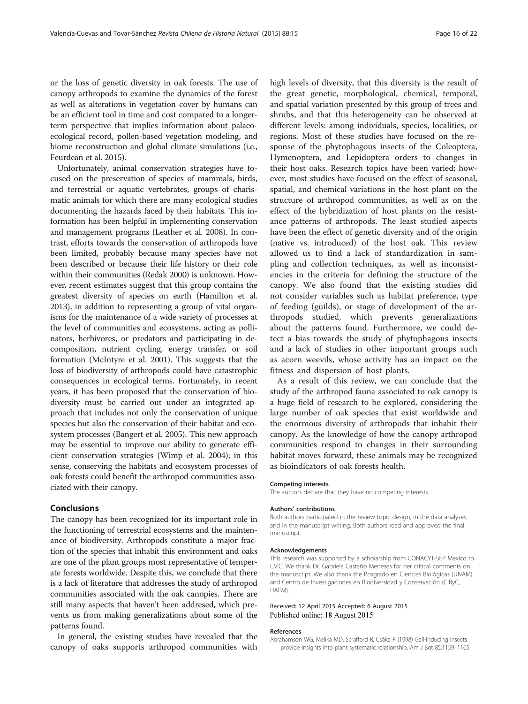<span id="page-15-0"></span>or the loss of genetic diversity in oak forests. The use of canopy arthropods to examine the dynamics of the forest as well as alterations in vegetation cover by humans can be an efficient tool in time and cost compared to a longerterm perspective that implies information about palaeoecological record, pollen-based vegetation modeling, and biome reconstruction and global climate simulations (i.e., Feurdean et al. [2015](#page-17-0)).

Unfortunately, animal conservation strategies have focused on the preservation of species of mammals, birds, and terrestrial or aquatic vertebrates, groups of charismatic animals for which there are many ecological studies documenting the hazards faced by their habitats. This information has been helpful in implementing conservation and management programs (Leather et al. [2008](#page-18-0)). In contrast, efforts towards the conservation of arthropods have been limited, probably because many species have not been described or because their life history or their role within their communities (Redak [2000](#page-19-0)) is unknown. However, recent estimates suggest that this group contains the greatest diversity of species on earth (Hamilton et al. [2013\)](#page-17-0), in addition to representing a group of vital organisms for the maintenance of a wide variety of processes at the level of communities and ecosystems, acting as pollinators, herbivores, or predators and participating in decomposition, nutrient cycling, energy transfer, or soil formation (McIntyre et al. [2001](#page-18-0)). This suggests that the loss of biodiversity of arthropods could have catastrophic consequences in ecological terms. Fortunately, in recent years, it has been proposed that the conservation of biodiversity must be carried out under an integrated approach that includes not only the conservation of unique species but also the conservation of their habitat and ecosystem processes (Bangert et al. [2005\)](#page-16-0). This new approach may be essential to improve our ability to generate efficient conservation strategies (Wimp et al. [2004](#page-21-0)); in this sense, conserving the habitats and ecosystem processes of oak forests could benefit the arthropod communities associated with their canopy.

#### Conclusions

The canopy has been recognized for its important role in the functioning of terrestrial ecosystems and the maintenance of biodiversity. Arthropods constitute a major fraction of the species that inhabit this environment and oaks are one of the plant groups most representative of temperate forests worldwide. Despite this, we conclude that there is a lack of literature that addresses the study of arthropod communities associated with the oak canopies. There are still many aspects that haven't been addresed, which prevents us from making generalizations about some of the patterns found.

In general, the existing studies have revealed that the canopy of oaks supports arthropod communities with high levels of diversity, that this diversity is the result of the great genetic, morphological, chemical, temporal, and spatial variation presented by this group of trees and shrubs, and that this heterogeneity can be observed at different levels: among individuals, species, localities, or regions. Most of these studies have focused on the response of the phytophagous insects of the Coleoptera, Hymenoptera, and Lepidoptera orders to changes in their host oaks. Research topics have been varied; however, most studies have focused on the effect of seasonal, spatial, and chemical variations in the host plant on the structure of arthropod communities, as well as on the effect of the hybridization of host plants on the resistance patterns of arthropods. The least studied aspects have been the effect of genetic diversity and of the origin (native vs. introduced) of the host oak. This review allowed us to find a lack of standardization in sampling and collection techniques, as well as inconsistencies in the criteria for defining the structure of the canopy. We also found that the existing studies did not consider variables such as habitat preference, type of feeding (guilds), or stage of development of the arthropods studied, which prevents generalizations about the patterns found. Furthermore, we could detect a bias towards the study of phytophagous insects and a lack of studies in other important groups such as acorn weevils, whose activity has an impact on the fitness and dispersion of host plants.

As a result of this review, we can conclude that the study of the arthropod fauna associated to oak canopy is a huge field of research to be explored, considering the large number of oak species that exist worldwide and the enormous diversity of arthropods that inhabit their canopy. As the knowledge of how the canopy arthropod communities respond to changes in their surrounding habitat moves forward, these animals may be recognized as bioindicators of oak forests health.

#### Competing interests

The authors declare that they have no competing interests.

#### Authors' contributions

Both authors participated in the review topic design, in the data analyses, and in the manuscript writing. Both authors read and approved the final manuscript.

#### Acknowledgements

This research was supported by a scholarship from CONACYT-SEP Mexico to L.V.C. We thank Dr. Gabriela Castaño Meneses for her critical comments on the manuscript. We also thank the Posgrado en Ciencias Biológicas (UNAM) and Centro de Investigaciones en Biodiversidad y Conservación (CIByC, UAEM).

#### Received: 12 April 2015 Accepted: 6 August 2015 Published online: 18 August 2015

#### References

Abrahamson WG, Melika MD, Scrafford R, Csóka P (1998) Gall-inducing insects provide insights into plant systematic relationship. Am J Bot 85:1159–1165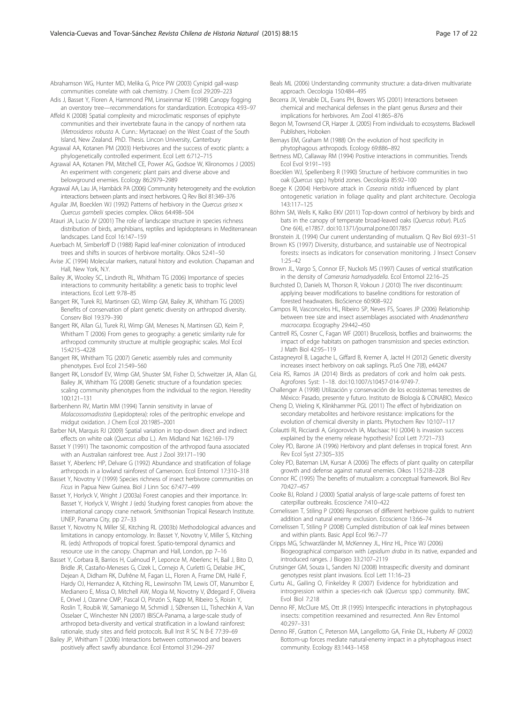<span id="page-16-0"></span>Abrahamson WG, Hunter MD, Melika G, Price PW (2003) Cynipid gall-wasp communities correlate with oak chemistry. J Chem Ecol 29:209–223

Adis J, Basset Y, Floren A, Hammond PM, Linseinmar KE (1998) Canopy fogging an overstory tree—recommendations for standardization. Ecotropica 4:93–97

- Affeld K (2008) Spatial complexity and microclimatic responses of epiphyte communities and their invertebrate fauna in the canopy of northern rata (Metrosideros robusta A. Cunn.: Myrtaceae) on the West Coast of the South Island, New Zealand. PhD. Thesis. Lincon University, Canterbury
- Agrawal AA, Kotanen PM (2003) Herbivores and the success of exotic plants: a phylogenetically controlled experiment. Ecol Lett 6:712–715
- Agrawal AA, Kotanen PM, Mitchell CE, Power AG, Godsoe W, Klironomos J (2005) An experiment with congeneric plant pairs and diverse above and belowground enemies. Ecology 86:2979–2989
- Agrawal AA, Lau JA, Hambäck PA (2006) Community heterogeneity and the evolution interactions between plants and insect herbivores. Q Rev Biol 81:349–376
- Aguilar JM, Boecklen WJ (1992) Patterns of herbivory in the Quercus grisea  $\times$ Quercus gambelii species complex. Oikos 64:498–504
- Atauri JA, Lucio JV (2001) The role of landscape structure in species richness distribution of birds, amphibians, reptiles and lepidopterans in Mediterranean landscapes. Land Ecol 16:147–159
- Auerbach M, Simberloff D (1988) Rapid leaf-miner colonization of introduced trees and shifts in sources of herbivore mortality. Oikos 52:41–50
- Avise JC (1994) Molecular markers, natural history and evolution. Chapaman and Hall, New York, N.Y.
- Bailey JK, Wooley SC, Lindroth RL, Whitham TG (2006) Importance of species interactions to community heritability: a genetic basis to trophic level interactions. Ecol Lett 9:78–85
- Bangert RK, Turek RJ, Martinsen GD, Wimp GM, Bailey JK, Whitham TG (2005) Benefits of conservation of plant genetic diversity on arthropod diversity. Conserv Biol 19:379–390
- Bangert RK, Allan GJ, Turek RJ, Wimp GM, Meneses N, Martinsen GD, Keim P, Whitham T (2006) From genes to geography: a genetic similarity rule for arthropod community structure at multiple geographic scales. Mol Ecol 15:4215–4228
- Bangert RK, Whitham TG (2007) Genetic assembly rules and community phenotypes. Evol Ecol 21:549–560
- Bangert RK, Lonsdorf EV, Wimp GM, Shuster SM, Fisher D, Schweitzer JA, Allan GJ, Bailey JK, Whitham TG (2008) Genetic structure of a foundation species: scaling community phenotypes from the individual to the region. Heredity 100:121–131

Barbenhenn RV, Martin MM (1994) Tannin sensitivity in larvae of Malacossomadisstira (Lepidoptera): roles of the peritrophic envelope and midgut oxidation. J Chem Ecol 20:1985–2001

Barber NA, Marquis RJ (2009) Spatial variation in top-down direct and indirect effects on white oak (Quercus alba L.). Am Midland Nat 162:169–179

Basset Y (1991) The taxonomic composition of the arthropod fauna associated with an Australian rainforest tree. Aust J Zool 39:171–190

- Basset Y, Aberlenc HP, Delvare G (1992) Abundance and stratification of foliage arthropods in a lowland rainforest of Cameroon. Ecol Entomol 17:310–318
- Basset Y, Novotny V (1999) Species richness of insect herbivore communities on Ficus in Papua New Guinea. Biol J Linn Soc 67:477–499

Basset Y, Horlyck V, Wright J (2003a) Forest canopies and their importance. In: Basset Y, Horlyck V, Wright J (eds) Studying forest canopies from above: the international canopy crane network. Smithsonian Tropical Research Institute. UNEP, Panama City, pp 27–33

Basset Y, Novotny N, Miller SE, Kitching RL (2003b) Methodological advances and limitations in canopy entomology. In: Basset Y, Novotny V, Miller S, Kitching RL (eds) Arthropods of tropical forest. Spatio-temporal dynamics and resource use in the canopy. Chapman and Hall, London, pp 7–16

Basset Y, Corbara B, Barrios H, Cuénoud P, Leponce M, Aberlenc H, Bail J, Bito D, Bridle JR, Castaño-Meneses G, Cizek L, Cornejo A, Curletti G, Delabie JHC, Dejean A, Didham RK, Dufrêne M, Fagan LL, Floren A, Frame DM, Hallé F, Hardy OJ, Hernandez A, Kitching RL, Lewinsohn TM, Lewis OT, Manumbor E, Medianero E, Missa O, Mitchell AW, Mogia M, Novotny V, Ødegard F, Oliveira E, Orivel J, Ozanne CMP, Pascal O, Pinzón S, Rapp M, Ribeiro S, Roisin Y, Roslin T, Roubik W, Samaniego M, Schmidl J, SØrensen LL, Tishechkin A, Van Osselaer C, Winchester NN (2007) IBISCA-Panama, a large-scale study of arthropod beta-diversity and vertical stratification in a lowland rainforest: rationale, study sites and field protocols. Bull Inst R SC N B-E 77:39–69

Bailey JP, Whitham T (2006) Interactions between cottonwood and beavers positively affect sawfly abundance. Ecol Entomol 31:294–297

Beals ML (2006) Understanding community structure: a data-driven multivariate approach. Oecologia 150:484–495

Becerra JX, Venable DL, Evans PH, Bowers WS (2001) Interactions between chemical and mechanical defenses in the plant genus Bursera and their implications for herbivores. Am Zool 41:865–876

Begon M, Townsend CR, Harper JL (2005) From individuals to ecosystems. Blackwell Publishers, Hoboken

Bernays EM, Graham M (1988) On the evolution of host specificity in phytophagous arthropods. Ecology 69:886–892

- Bertness MD, Callaway RM (1994) Positive interactions in communities. Trends Ecol Evol 9:191–193
- Boecklen WJ, Spellenberg R (1990) Structure of herbivore communities in two oak (Quercus spp.) hybrid zones. Oecologia 85:92–100
- Boege K (2004) Herbivore attack in Casearia nitida influenced by plant ontogenetic variation in foliage quality and plant architecture. Oecologia 143:117–125
- Böhm SM, Wells K, Kalko EKV (2011) Top-down control of herbivory by birds and bats in the canopy of temperate broad-leaved oaks (Quercus robur). PLoS One 6(4), e17857. doi:[10.1371/journal.pone.0017857](http://dx.doi.org/10.1371/journal.pone.0017857)

Bronstein JL (1994) Our current understanding of mutualism. Q Rev Biol 69:31–51

- Brown KS (1997) Diversity, disturbance, and sustainable use of Neotropical forests: insects as indicators for conservation monitoring. J Insect Conserv 1:25–42
- Brown JL, Vargo S, Connor EF, Nuckols MS (1997) Causes of vertical stratification in the density of Cameraria hamadryadella. Ecol Entomol 22:16–25
- Burchsted D, Daniels M, Thorson R, Vokoun J (2010) The river discontinuum: applying beaver modifications to baseline conditions for restoration of forested headwaters. BioScience 60:908–922
- Campos RI, Vasconcelos HL, Ribeiro SP, Neves FS, Soares JP (2006) Relationship between tree size and insect assemblages associated with Anadenanthera macrocarpa. Ecography 29:442–450
- Cantrell RS, Cosner C, Fagan WF (2001) Brucellosis, botflies and brainworms: the impact of edge habitats on pathogen transmission and species extinction. J Math Biol 42:95–119
- Castagneyrol B, Lagache L, Giffard B, Kremer A, Jactel H (2012) Genetic diversity increases insect herbivory on oak saplings. PLoS One 7(8), e44247

Ceia RS, Ramos JA (2014) Birds as predators of cork and holm oak pests. Agrofores Syst: 1–18. doi:[10.1007/s10457-014-9749-7](http://dx.doi.org/10.1007/s10457-014-9749-7).

Challenger A (1998) Utilización y conservación de los ecosistemas terrestres de México: Pasado, presente y futuro. Instituto de Biología & CONABIO, Mexico

Cheng D, Vrieling K, Klinkhammer PGL (2011) The effect of hybridization on secondary metabolites and herbivore resistance: implications for the evolution of chemical diversity in plants. Phytochem Rev 10:107–117

- Colautti RI, Ricciardi A, Grigorovich IA, MacIsaac HJ (2004) Is invasion success explained by the enemy release hypothesis? Ecol Lett 7:721–733
- Coley PD, Barone JA (1996) Herbivory and plant defenses in tropical forest. Ann Rev Ecol Syst 27:305–335
- Coley PD, Bateman LM, Kursar A (2006) The effects of plant quality on caterpillar growth and defense against natural enemies. Oikos 115:218–228
- Connor RC (1995) The benefits of mutualism: a conceptual framework. Biol Rev 70:427–457

Cooke BJ, Roland J (2000) Spatial analysis of large-scale patterns of forest ten caterpillar outbreaks. Ecoscience 7:410–422

Cornelissen T, Stiling P (2006) Responses of different herbivore guilds to nutrient addition and natural enemy exclusion. Ecoscience 13:66–74

Cornelissen T, Stiling P (2008) Cumpled distribution of oak leaf mines between and within plants. Basic Appl Ecol 96:7–77

Cripps MG, Schwarzländer M, McKenney JL, Hinz HL, Price WJ (2006) Biogeographical comparison with Lepidium draba in its native, expanded and introduced ranges. J Biogeo 33:2107–2119

- Crutsinger GM, Souza L, Sanders NJ (2008) Intraspecific diversity and dominant genotypes resist plant invasions. Ecol Lett 11:16–23
- Curtu AL, Gailing O, Finkeldey R (2007) Evidence for hybridization and introgression within a species-rich oak (Quercus spp.) community. BMC Evol Biol 7:218
- Denno RF, McClure MS, Ott JR (1995) Interspecific interactions in phytophagous insects: competition reexamined and resurrected. Ann Rev Entomol 40:297–331
- Denno RF, Gratton C, Peterson MA, Langellotto GA, Finke DL, Huberty AF (2002) Bottom-up forces mediate natural-enemy impact in a phytophagous insect community. Ecology 83:1443–1458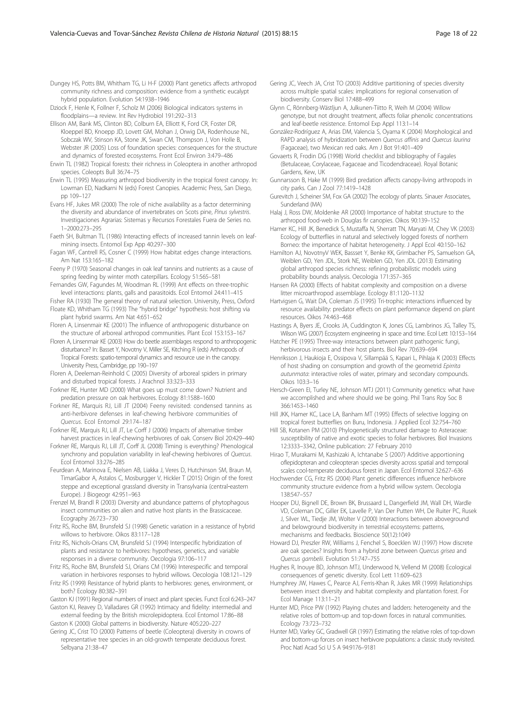<span id="page-17-0"></span>Dungey HS, Potts BM, Whitham TG, Li H-F (2000) Plant genetics affects arthropod community richness and composition: evidence from a synthetic eucalypt hybrid population. Evolution 54:1938–1946

Dziock F, Henle K, Follner F, Scholz M (2006) Biological indicators systems in floodplains—a review. Int Rev Hydrobiol 191:292–313

Ellison AM, Bank MS, Clinton BD, Colburn EA, Elliott K, Ford CR, Foster DR, Kloeppel BD, Knoepp JD, Lovett GM, Mohan J, Orwig DA, Rodenhouse NL, Sobczak WV, Stinson KA, Stone JK, Swan CM, Thompson J, Von Holle B, Webster JR (2005) Loss of foundation species: consequences for the structure and dynamics of forested ecosystems. Front Ecol Environ 3:479–486

- Erwin TL (1982) Tropical forests: their richness in Coleoptera in another arthropod species. Coleopts Bull 36:74–75
- Erwin TL (1995) Measuring arthropod biodiversity in the tropical forest canopy. In: Lowman ED, Nadkarni N (eds) Forest Canopies. Academic Press, San Diego, pp 109–127
- Evans HF, Jukes MR (2000) The role of niche availability as a factor determining the diversity and abundance of invertebrates on Scots pine, Pinus sylvestris. Investigaciones Agrarias: Sistemas y Recursos Forestales Fuera de Series no. 1–2000:273–295

Faeth SH, Bultman TL (1986) Interacting effects of increased tannin levels on leafmining insects. Entomol Exp App 40:297-300

- Fagan WF, Cantrell RS, Cosner C (1999) How habitat edges change interactions. Am Nat 153:165–182
- Feeny P (1970) Seasonal changes in oak leaf tannins and nutrients as a cause of spring feeding by winter moth caterpillars. Ecology 51:565–581
- Fernandes GW, Fagundes M, Woodman RL (1999) Ant effects on three-trophic level interactions: plants, galls and parasitoids. Ecol Entomol 24:411–415

Fisher RA (1930) The general theory of natural selection. University, Press, Oxford Floate KD, Whitham TG (1993) The "hybrid bridge" hypothesis: host shifting via plant hybrid swarms. Am Nat 4:651–652

Floren A, Linsenmair KE (2001) The influence of anthropogenic disturbance on the structure of arboreal arthropod communities. Plant Ecol 153:153–167

Floren A, Linsenmair KE (2003) How do beetle assemblages respond to anthropogenic disturbance? In: Basset Y, Novotny V, Miller SE, Kitching R (eds) Arthropods of Tropical Forests: spatio-temporal dynamics and resource use in the canopy. University Press, Cambridge, pp 190–197

- Floren A, Deeleman-Reinhold C (2005) Diversity of arboreal spiders in primary and disturbed tropical forests. J Arachnol 33:323–333
- Forkner RE, Hunter MD (2000) What goes up must come down? Nutrient and predation pressure on oak herbivores. Ecology 81:1588–1600

Forkner RE, Marquis RJ, Lill JT (2004) Feeny revisited: condensed tannins as anti-herbivore defenses in leaf-chewing herbivore communities of Quercus. Ecol Entomol 29:174–187

- Forkner RE, Marquis RJ, Lill JT, Le Corff J (2006) Impacts of alternative timber harvest practices in leaf-chewing herbivores of oak. Conserv Biol 20:429–440
- Forkner RE, Marquis RJ, Lill JT, Corff JL (2008) Timing is everything? Phenological synchrony and population variability in leaf-chewing herbivores of Quercus. Ecol Entomol 33:276–285
- Feurdean A, Marinova E, Nielsen AB, Liakka J, Veres D, Hutchinson SM, Braun M, TimarGabor A, Astalos C, Mosburgger V, Hickler T (2015) Origin of the forest steppe and exceptional grassland diversity in Transylvania (central‐eastern Europe). J Biogeogr 42:951–963

Frenzel M, Brandl R (2003) Diversity and abundance patterns of phytophagous insect communities on alien and native host plants in the Brassicaceae. Ecography 26:723–730

Fritz RS, Roche BM, Brunsfeld SJ (1998) Genetic variation in a resistance of hybrid willows to herbivore. Oikos 83:117–128

Fritz RS, Nichols-Orians CM, Brunsfeld SJ (1994) Interspecific hybridization of plants and resistance to herbivores: hypotheses, genetics, and variable responses in a diverse community. Oecologia 97:106–117

Fritz RS, Roche BM, Brunsfeld SJ, Orians CM (1996) Interespecific and temporal variation in herbivores responses to hybrid willows. Oecologia 108:121–129

Fritz RS (1999) Resistance of hybrid plants to herbivores: genes, environment, or both? Ecology 80:382–391

Gaston KJ (1991) Regional numbers of insect and plant species. Funct Ecol 6:243–247 Gaston KJ, Reavey D, Valladares GR (1992) Intimacy and fidelity: intermedial and

external feeding by the British microlepidoptera. Ecol Entomol 17:86–88 Gaston K (2000) Global patterns in biodiversity. Nature 405:220–227

Gering JC, Crist TO (2000) Patterns of beetle (Coleoptera) diversity in crowns of representative tree species in an old-growth temperate deciduous forest. Selbyana 21:38–47

- Gering JC, Veech JA, Crist TO (2003) Additive partitioning of species diversity across multiple spatial scales: implications for regional conservation of biodiversity. Conserv Biol 17:488–499
- Glynn C, Rönnberg-Wästljun A, Julkunen-Tiitto R, Weih M (2004) Willow genotype, but not drought treatment, affects foliar phenolic concentrations and leaf-beetle resistence. Entomol Exp Appl 113:1–14
- González-Rodríguez A, Arias DM, Valencia S, Oyama K (2004) Morphological and RAPD analysis of hybridization between Quercus affinis and Quercus laurina (Fagaceae), two Mexican red oaks. Am J Bot 91:401–409

Govaerts R, Frodin DG (1998) World checklist and bibliography of Fagales (Betulaceae, Corylaceae, Fagaceae and Ticodendraceae). Royal Botanic Gardens, Kew, UK

- Gunnarsson B, Hake M (1999) Bird predation affects canopy-living arthropods in city parks. Can J Zool 77:1419–1428
- Gurevitch J, Scheiner SM, Fox GA (2002) The ecology of plants. Sinauer Associates, Sunderland (MA)
- Halaj J, Ross DW, Moldenke AR (2000) Importance of habitat structure to the arthropod food-web in Douglas fir canopies. Oikos 90:139–152

Hamer KC, Hill JK, Benedick S, Mustaffa N, Sherratt TN, Maryati M, Chey VK (2003) Ecology of butterflies in natural and selectively logged forests of northern Borneo: the importance of habitat heterogeneity. J Appl Ecol 40:150–162

Hamilton AJ, NovotnyV WEK, Bassset Y, Benke KK, Grimbacher PS, Samuelson GA, Weiblen GD, Yen JDL, Stork NE, Weiblen GD, Yen JDL (2013) Estimating global arthropod species richness: refining probabilistic models using probability bounds analysis. Oecologia 171:357–365

Hansen RA (2000) Effects of habitat complexity and composition on a diverse litter microarthropod assemblage. Ecology 81:1120–1132

Hartvigsen G, Wait DA, Coleman JS (1995) Tri-trophic interactions influenced by resource availability: predator effects on plant performance depend on plant resources. Oikos 74:463–468

Hastings A, Byers JE, Crooks JA, Cuddington K, Jones CG, Lambrinos JG, Talley TS, Wilson WG (2007) Ecosystem engineering in space and time. Ecol Lett 10:153–164

Hatcher PE (1995) Three-way interactions between plant pathogenic fungi, herbivorous insects and their host plants. Biol Rev 70:639–694

Henriksson J, Haukioja E, Ossipova V, Sillampää S, Kapari L, Pihlaja K (2003) Effects of host shading on consumption and growth of the geometrid Epirrita autunmata: interactive roles of water, primary and secondary compounds. Oikos 103:3–16

Hersch-Green EI, Turley NE, Johnson MTJ (2011) Community genetics: what have we accomplished and where should we be going. Phil Trans Roy Soc B 366:1453–1460

Hill JKK, Hamer KC, Lace LA, Banham MT (1995) Effects of selective logging on tropical forest butterflies on Buru, Indonesia. J Applied Ecol 32:754–760

Hill SB, Kotanen PM (2010) Phylogenetically structured damage to Asteraceae: susceptibility of native and exotic species to foliar herbivores. Biol Invasions 12:3333–3342, Online publication: 27 February 2010

Hirao T, Murakami M, Kashizaki A, Ichtanabe S (2007) Additive apportioning oflepidopteran and coleopteran species diversity across spatial and temporal scales cool-temperate deciduous forest in Japan. Ecol Entomol 32:627–636

Hochwender CG, Fritz RS (2004) Plant genetic differences influence herbivore community structure evidence from a hybrid willow system. Oecologia 138:547–557

Hooper DU, Bignell DE, Brown BK, Brussaard L, Dangerfield JM, Wall DH, Wardle VD, Coleman DC, Giller EK, Lavelle P, Van Der Putten WH, De Ruiter PC, Rusek J, Silver WL, Tiedje JM, Wolter V (2000) Interactions between aboveground and belowground biodiversity in terrestrial ecosystems: patterns, mechanisms and feedbacks. Bioscience 50(12):1049

Howard DJ, Preszler RW, Williams J, Fenchel S, Boecklen WJ (1997) How discrete are oak species? Insights from a hybrid zone between Quercus grisea and Quercus gambelii. Evolution 51:747–755

- Hughes R, Inouye BD, Johnson MTJ, Underwood N, Vellend M (2008) Ecological consequences of genetic diversity. Ecol Lett 11:609–623
- Humphrey JW, Hawes C, Pearce AJ, Ferris-Khan R, Jukes MR (1999) Relationships between insect diversity and habitat complexity and plantation forest. For Ecol Manage 113:11–21
- Hunter MD, Price PW (1992) Playing chutes and ladders: heterogeneity and the relative roles of bottom-up and top-down forces in natural communities. Ecology 73:723–732
- Hunter MD, Varley GC, Gradwell GR (1997) Estimating the relative roles of top-down and bottom-up forces on insect herbivore populations: a classic study revisited. Proc Natl Acad Sci U S A 94:9176–9181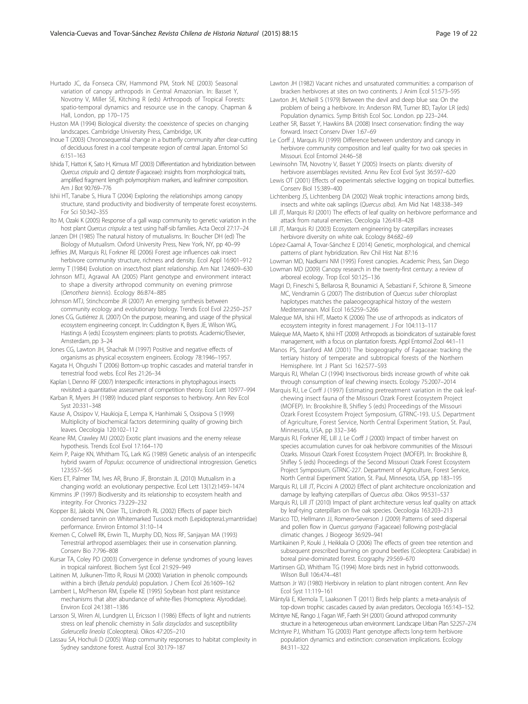- <span id="page-18-0"></span>Hurtado JC, da Fonseca CRV, Hammond PM, Stork NE (2003) Seasonal variation of canopy arthropods in Central Amazonian. In: Basset Y, Novotny V, Miller SE, Kitching R (eds) Arthropods of Tropical Forests: spatio-temporal dynamics and resource use in the canopy. Chapman & Hall, London, pp 170–175
- Huston MA (1994) Biological diversity: the coexistence of species on changing landscapes. Cambridge University Press, Cambridge, UK
- Inoue T (2003) Chronosequential change in a butterfly community after clear-cutting of deciduous forest in a cool temperate region of central Japan. Entomol Sci 6:151–163
- Ishida T, Hattori K, Sato H, Kimura MT (2003) Differentiation and hybridization between Quercus crispula and Q. dentate (Fagaceae): insights from morphological traits, amplified fragment length polymorphism markers, and leafminer composition. Am J Bot 90:769–776
- Ishii HT, Tanabe S, Hiura T (2004) Exploring the relationships among canopy structure, stand productivity and biodiversity of temperate forest ecosystems. For Sci 50:342–355
- Ito M, Ozaki K (2005) Response of a gall wasp community to genetic variation in the host plant Quercus crispula: a test using half-sib families. Acta Oecol 27:17–24
- Janzen DH (1985) The natural history of mutualisms. In: Boucher DH (ed) The Biology of Mutualism. Oxford University Press, New York, NY, pp 40–99
- Jeffries JM, Marquis RJ, Forkner RE (2006) Forest age influences oak insect herbivore community structure, richness and density. Ecol Appl 16:901–912
- Jermy T (1984) Evolution on insect/host plant relationship. Am Nat 124:609–630 Johnson MTJ, Agrawal AA (2005) Plant genotype and environment interact to shape a diversity arthropod community on evening primrose
- (Oenothera biennis). Ecology 86:874–885 Johnson MTJ, Stinchcombe JR (2007) An emerging synthesis between
- community ecology and evolutionary biology. Trends Ecol Evol 22:250–257 Jones CG, Gutiérrez JL (2007) On the purpose, meaning, and usage of the physical ecosystem engineering concept. In: Cuddington K, Byers JE, Wilson WG,
- Hastings A (eds) Ecosystem engineers: plants to protists. Academic/Elsevier, Amsterdam, pp 3–24 Jones CG, Lawton JH, Shachak M (1997) Positive and negative effects of
- organisms as physical ecosystem engineers. Ecology 78:1946–1957.
- Kagata H, Ohgushi T (2006) Bottom-up trophic cascades and material transfer in terrestrial food webs. Ecol Res 21:26–34
- Kaplan I, Denno RF (2007) Interspecific interactions in phytophagous insects revisited: a quantitative assessment of competition theory. Ecol Lett 10:977–994
- Karban R, Myers JH (1989) Induced plant responses to herbivory. Ann Rev Ecol Syst 20:331–348 Kause A, Ossipov V, Haukioja E, Lempa K, Hanhimaki S, Ossipova S (1999)
- Multiplicity of biochemical factors determining quality of growing birch leaves. Oecologia 120:102–112
- Keane RM, Crawley MJ (2002) Exotic plant invasions and the enemy release hypothesis. Trends Ecol Evol 17:164–170
- Keim P, Paige KN, Whitham TG, Lark KG (1989) Genetic analysis of an interspecific hybrid swarm of Populus: occurrence of unidirectional introgression. Genetics 123:557–565
- Kiers ET, Palmer TM, Ives AR, Bruno JF, Bronstain JL (2010) Mutualism in a changing world: an evolutionary perspective. Ecol Lett 13(12):1459–1474
- Kimmins JP (1997) Biodiversity and its relationship to ecosystem health and integrity. For Chronics 73:229–232
- Kopper BJ, Jakobi VN, Osier TL, Lindroth RL (2002) Effects of paper birch condensed tannin on Whitemarked Tussock moth (Lepidoptera:Lymantriidae) performance. Environ Entomol 31:10–14
- Kremen C, Colwell RK, Erwin TL, Murphy DD, Noss RF, Sanjayan MA (1993) Terrestrial arthropod assemblages: their use in conservation planning. Conserv Bio 7:796–808
- Kursar TA, Coley PD (2003) Convergence in defense syndromes of young leaves in tropical rainforest. Biochem Syst Ecol 21:929–949
- Laitinen M, Julkunen-Titto R, Rousi M (2000) Variation in phenolic compounds within a birch (Betula pendula) population. J Chem Ecol 26:1609–162
- Lambert L, McPherson RM, Espelie KE (1995) Soybean host plant resistance mechanisms that alter abundance of white-flies (Homoptera: Alyrodidae). Environ Ecol 24:1381–1386
- Larsson SI, Wiren AI, Lundgren LI, Ericsson I (1986) Effects of light and nutrients stress on leaf phenolic chemistry in Salix dasyclados and susceptibility Galerucella lineola (Coleoptera). Oikos 47:205–210
- Lassau SA, Hochuli D (2005) Wasp community responses to habitat complexity in Sydney sandstone forest. Austral Ecol 30:179–187

Lawton JH (1982) Vacant niches and unsaturated communities: a comparison of bracken herbivores at sites on two continents. J Anim Ecol 51:573–595

- Lawton JH, McNeill S (1979) Between the devil and deep blue sea: On the problem of being a herbivore. In: Anderson RM, Turner BD, Taylor LR (eds) Population dynamics. Symp British Ecol Soc. London. pp 223–244.
- Leather SR, Basset Y, Hawkins BA (2008) Insect conservation: finding the way forward. Insect Conserv Diver 1:67–69
- Le Corff J, Marquis RJ (1999) Difference between understory and canopy in herbivore community composition and leaf quality for two oak species in Missouri. Ecol Entomol 24:46–58
- Lewinsohn TM, Novotny V, Basset Y (2005) Insects on plants: diversity of herbivore assemblages revisited. Annu Rev Ecol Evol Syst 36:597–620
- Lewis OT (2001) Effects of experimentals selective logging on tropical butterflies. Conserv Biol 15:389–400
- Lichtenberg JS, Lichtenberg DA (2002) Weak trophic interactions among birds, insects and white oak saplings (Quercus alba). Am Mid Nat 148:338–349
- Lill JT, Marquis RJ (2001) The effects of leaf quality on herbivore performance and attack from natural enemies. Oecologia 126:418–428
- Lill JT, Marquis RJ (2003) Ecosystem engineering by caterpillars increases herbivore diversity on white oak. Ecology 84:682–69
- López-Caamal A, Tovar-Sánchez E (2014) Genetic, morphological, and chemical patterns of plant hybridization. Rev Chil Hist Nat 87:16
- Lowman MD, Nadkarni NM (1995) Forest canopies. Academic Press, San Diego Lowman MD (2009) Canopy research in the twenty-first century: a review of
- arboreal ecology. Trop Ecol 50:125–136 Magri D, Fineschi S, Bellarosa R, Bounamici A, Sebastiani F, Schirone B, Simeone MC, Vendramin G (2007) The distribution of Quercus suber chloroplast haplotypes matches the palaeogeographical history of the western
- Mediterranean. Mol Ecol 16:5259–5266 Maleque MA, Ishii HT, Maeto K (2006) The use of arthropods as indicators of
- ecosystem integrity in forest management. J For 104:113–117
- Maleque MA, Maeto K, Ishii HT (2009) Arthropods as bioindicators of sustainable forest management, with a focus on plantation forests. Appl Entomol Zool 44:1–11
- Manos PS, Stanford AM (2001) The biogeography of Fagaceae: tracking the tertiary history of temperate and subtropical forests of the Northern Hemisphere. Int J Plant Sci 162:S77–S93
- Marquis RJ, Whelan CJ (1994) Insectivorous birds increase growth of white oak through consumption of leaf chewing insects. Ecology 75:2007–2014
- Marquis RJ, Le Corff J (1997) Estimating pretreatment variation in the oak leafchewing insect fauna of the Missouri Ozark Forest Ecosystem Project (MOFEP). In: Brookshire B, Shifley S (eds) Proceedings of the Missouri Ozark Forest Ecosystem Project Symposium, GTRNC-193. U.S. Department of Agriculture, Forest Service, North Central Experiment Station, St. Paul, Minnesota, USA, pp 332–346
- Marquis RJ, Forkner RE, Lill J, Le Corff J (2000) Impact of timber harvest on species accumulation curves for oak herbivore communities of the Missouri Ozarks. Missouri Ozark Forest Ecosystem Project (MOFEP). In: Brookshire B, Shifley S (eds) Proceedings of the Second Missouri Ozark Forest Ecosystem Project Symposium, GTRNC-227. Department of Agriculture, Forest Service, North Central Experiment Station, St. Paul, Minnesota, USA, pp 183–195
- Marquis RJ, Lill JT, Piccini A (2002) Effect of plant architecture oncolonization and damage by leaftying caterpillars of Quercus alba. Oikos 99:531–537
- Marquis RJ, Lill JT (2010) Impact of plant architecture versus leaf quality on attack by leaf-tying caterpillars on five oak species. Oecologia 163:203–213
- Marsico TD, Hellmann JJ, Romero‐Severson J (2009) Patterns of seed dispersal and pollen flow in Quercus garryana (Fagaceae) following post-glacial climatic changes. J Biogeogr 36:929–941
- Martikainen P, Kouki J, Heikkala O (2006) The effects of green tree retention and subsequent prescribed burning on ground beetles (Coleoptera: Carabidae) in boreal pine-dominated forest. Ecography 29:569–670
- Martinsen GD, Whitham TG (1994) More birds nest in hybrid cottonwoods. Wilson Bull 106:474–481
- Mattson Jr WJ (1980) Herbivory in relation to plant nitrogen content. Ann Rev Ecol Syst 11:119–161
- Mäntylä E, Klemola T, Laaksonen T (2011) Birds help plants: a meta-analysis of top-down trophic cascades caused by avian predators. Oecologia 165:143–152.
- McIntyre NE, Rango J, Fagan WF, Faeth SH (2001) Ground arthropod community structure in a heterogeneous urban environment. Landscape Urban Plan 52:257–274
- McIntyre PJ, Whitham TG (2003) Plant genotype affects long-term herbivore population dynamics and extinction: conservation implications. Ecology 84:311–322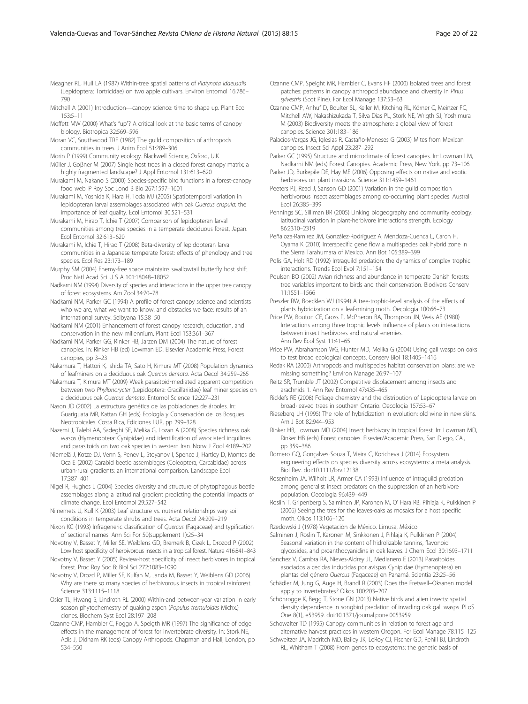- <span id="page-19-0"></span>Meagher RL, Hull LA (1987) Within-tree spatial patterns of Platynota idaeusalis (Lepidoptera: Tortricidae) on two apple cultivars. Environ Entomol 16:786– 790
- Mitchell A (2001) Introduction—canopy science: time to shape up. Plant Ecol 153:5–11
- Moffett MW (2000) What's "up"? A critical look at the basic terms of canopy biology. Biotropica 32:569–596
- Moran VC, Southwood TRE (1982) The guild composition of arthropods communities in trees. J Anim Ecol 51:289–306
- Morin P (1999) Community ecology. Blackwell Science, Oxford, U.K
- Müller J, Goβner M (2007) Single host trees in a closed forest canopy matrix: a highly fragmented landscape? J Appl Entomol 131:613–620
- Murakami M, Nakano S (2000) Species-specific bird functions in a forest-canopy food web. P Roy Soc Lond B Bio 267:1597–1601
- Murakami M, Yoshida K, Hara H, Toda MJ (2005) Spatiotemporal variation in lepidopteran larval assemblages associated with oak Quercus crispula: the importance of leaf quality. Ecol Entomol 30:521–531
- Murakami M, Hirao T, Ichie T (2007) Comparison of lepidopteran larval communities among tree species in a temperate deciduous forest, Japan. Ecol Entomol 32:613–620
- Murakami M, Ichie T, Hirao T (2008) Beta-diversity of lepidopteran larval communities in a Japanese temperate forest: effects of phenology and tree species. Ecol Res 23:173–189
- Murphy SM (2004) Enemy-free space maintains swallowtail butterfly host shift. Proc Natl Acad Sci U S A 101:18048–18052
- Nadkarni NM (1994) Diversity of species and interactions in the upper tree canopy of forest ecosystems. Am Zool 34:70–78
- Nadkarni NM, Parker GC (1994) A profile of forest canopy science and scientists who we are, what we want to know, and obstacles we face: results of an international survey. Selbyana 15:38–50
- Nadkarni NM (2001) Enhancement of forest canopy research, education, and conservation in the new millennium. Plant Ecol 153:361–367
- Nadkarni NM, Parker GG, Rinker HB, Jarzen DM (2004) The nature of forest canopies. In: Rinker HB (ed) Lowman ED. Elsevier Academic Press, Forest canopies, pp 3–23
- Nakamura T, Hattori K, Ishida TA, Sato H, Kimura MT (2008) Population dynamics of leafminers on a deciduous oak Quercus dentata. Acta Oecol 34:259–265
- Nakamura T, Kimura MT (2009) Weak parasitoid‐mediated apparent competition between two Phyllonorycter (Lepidoptera: Gracillariidae) leaf miner species on a deciduous oak Quercus dentata. Entomol Science 12:227–231
- Nason JD (2002) La estructura genética de las poblaciones de árboles. In: Guariguata MR, Kattan GH (eds) Ecología y Conservación de los Bosques Neotropicales. Costa Rica, Ediciones LUR, pp 299–328
- Nazemi J, Talebi AA, Sadeghi SE, Melika G, Lozan A (2008) Species richness oak wasps (Hymenoptera: Cynipidae) and identification of associated inquilines and parasitoids on two oak species in western Iran. Norw J Zool 4:189–202
- Niemelä J, Kotze DJ, Venn S, Penev L, Stoyanov I, Spence J, Hartley D, Montes de Oca E (2002) Carabid beetle assemblages (Coleoptera, Carcabidae) across urban-rural gradients: an international comparison. Landscape Ecol 17:387–401
- Nigel R, Hughes L (2004) Species diversity and structure of phytophagous beetle assemblages along a latitudinal gradient predicting the potential impacts of climate change. Ecol Entomol 29:527–542
- Niinemets U, Kull K (2003) Leaf structure vs. nutrient relationships vary soil conditions in temperate shrubs and trees. Acta Oecol 24:209–219
- Nixon KC (1993) Infrageneric classification of Quercus (Fagaceae) and typification of sectional names. Ann Sci For 50(supplement 1):25–34
- Novotny V, Basset Y, Miller SE, Weiblens GD, Bremerk B, Cizek L, Drozod P (2002) Low host specificity of herbivorous insects in a tropical forest. Nature 416:841–843
- Novotny V, Basset Y (2005) Review-host specificity of insect herbivores in tropical forest. Proc Roy Soc B: Biol Sci 272:1083–1090
- Novotny V, Drozd P, Miller SE, Kulfan M, Janda M, Basset Y, Weiblens GD (2006) Why are there so many species of herbivorous insects in tropical rainforest. Science 313:1115–1118
- Osier TL, Hwang S, Lindroth RL (2000) Within-and between-year variation in early season phytochemestry of quaking aspen (Populus tremuloides Michx.) clones. Biochem Syst Ecol 28:197–208
- Ozanne CMP, Hambler C, Foggo A, Speigth MR (1997) The significance of edge effects in the management of forest for invertebrate diversity. In: Stork NE, Adis J, Didham RK (eds) Canopy Arthropods. Chapman and Hall, London, pp 534–550
- Ozanne CMP, Speight MR, Hambler C, Evans HF (2000) Isolated trees and forest patches: patterns in canopy arthropod abundance and diversity in Pinus sylvestris (Scot Pine). For Ecol Manage 137:53–63
- Ozanne CMP, Anhuf D, Boulter SL, Keller M, Kitching RL, Körner C, Meinzer FC, Mitchell AW, Nakashizukada T, Silva Dias PL, Stork NE, Wrigth SJ, Yoshimura M (2003) Biodiversity meets the atmosphere: a global view of forest canopies. Science 301:183–186
- Palacios-Vargas JG, Iglesias R, Castaño-Meneses G (2003) Mites from Mexican canopies. Insect Sci Appl 23:287–292
- Parker GC (1995) Structure and microclimate of forest canopies. In: Lowman LM, Nadkarni NM (eds) Forest Canopies. Academic Press, New York, pp 73–106
- Parker JD, Burkepile DE, Hay ME (2006) Opposing effects on native and exotic herbivores on plant invasions. Science 311:1459–1461
- Peeters PJ, Read J, Sanson GD (2001) Variation in the guild composition herbivorous insect assemblages among co-occurring plant species. Austral Ecol 26:385–399
- Pennings SC, Silliman BR (2005) Linking biogeography and community ecology: latitudinal variation in plant-herbivore interactions strength. Ecology 86:2310–2319

Peñaloza-Ramírez JM, González-Rodríguez A, Mendoza-Cuenca L, Caron H, Oyama K (2010) Interspecific gene flow a multispecies oak hybrid zone in the Sierra Tarahumara of Mexico. Ann Bot 105:389–399

- Polis GA, Holt RD (1992) Intraguild predation: the dynamics of complex trophic interactions. Trends Ecol Evol 7:151–154
- Poulsen BO (2002) Avian richness and abundance in temperate Danish forests: tree variables important to birds and their conservation. Biodivers Conserv 11:1551–1566
- Preszler RW, Boecklen WJ (1994) A tree-trophic-level analysis of the effects of plants hybridization on a leaf-mining moth. Oecologia 100:66–73
- Price PW, Bouton CE, Gross P, McPheron BA, Thompson JN, Weis AE (1980) Interactions among three trophic levels: influence of plants on interactions between insect herbivores and natural enemies. Ann Rev Ecol Syst 11:41–65
- Price PW, Abrahamson WG, Hunter MD, Melika G (2004) Using gall wasps on oaks to test broad ecological concepts. Conserv Biol 18:1405–1416
- Redak RA (2000) Arthropods and multispecies habitat conservation plans: are we missing something? Environ Manage 26:97–107
- Reitz SR, Trumble JT (2002) Competitive displacement among insects and arachnids 1. Ann Rev Entomol 47:435–465
- Ricklefs RE (2008) Foliage chemistry and the distribution of Lepidoptera larvae on broad-leaved trees in southern Ontario. Oecologia 157:53–67
- Rieseberg LH (1995) The role of hybridization in evolution: old wine in new skins. Am J Bot 82:944–953
- Rinker HB, Lowman MD (2004) Insect herbivory in tropical forest. In: Lowman MD, Rinker HB (eds) Forest canopies. Elsevier/Academic Press, San Diego, CA., pp 359–386
- Romero GQ, Gonçalves‐Souza T, Vieira C, Koricheva J (2014) Ecosystem engineering effects on species diversity across ecosystems: a meta-analysis. Biol Rev. doi:[10.1111/brv.12138](http://dx.doi.org/10.1111/brv.12138)
- Rosenheim JA, Wilhoit LR, Armer CA (1993) Influence of intraguild predation among generalist insect predators on the suppression of an herbivore population. Oecologia 96:439–449
- Roslin T, Gripenberg S, Salminen JP, Karonen M, O' Hara RB, Pihlaja K, Pulkkinen P (2006) Seeing the tres for the leaves-oaks as mosaics for a host specific moth. Oikos 113:106–120

Rzedowski J (1978) Vegetación de México. Limusa, México

Salminen J, Roslin T, Karonen M, Sinkkonen J, Pihlaja K, Pulkkinen P (2004) Seasonal variation in the content of hidrolizable tannins, flavonoid glycosides, and proanthocyanidins in oak leaves. J Chem Ecol 30:1693–1711

Sanchez V, Cambra RA, Nieves-Aldrey JL, Medianero E (2013) Parasitoides asociados a cecidas inducidas por avispas Cynipidae (Hymenoptera) en plantas del género Quercus (Fagaceae) en Panamá. Scientia 23:25–56

- Schädler M, Jung G, Auge H, Brandl R (2003) Does the Fretwell–Oksanen model apply to invertebrates? Oikos 100:203–207
- Schönrogge K, Begg T, Stone GN (2013) Native birds and alien insects: spatial density dependence in songbird predation of invading oak gall wasps. PLoS One 8(1), e53959. doi:[10.1371/journal.pone.0053959](http://dx.doi.org/10.1371/journal.pone.0053959)
- Schowalter TD (1995) Canopy communities in relation to forest age and alternative harvest practices in western Oregon. For Ecol Manage 78:115–125
- Schweitzer JA, Madritch MD, Bailey JK, LeRoy CJ, Fischer GD, Rehill BJ, Lindroth RL, Whitham T (2008) From genes to ecosystems: the genetic basis of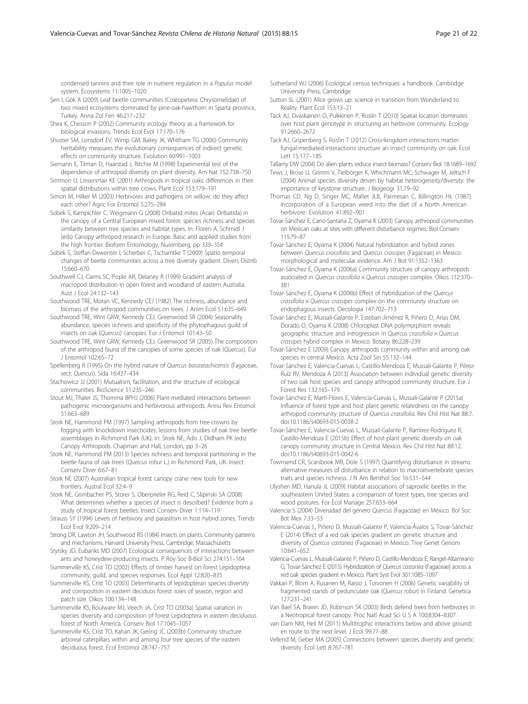<span id="page-20-0"></span>condensed tannins and their role in nutrient regulation in a Populus model system. Ecosystems 11:1005–1020

- Şen I, Gök A (2009) Leaf beetle communities (Coleopetera: Chrysomelidae) of two mixed ecosystems dominated by pine-oak-hawthorn in Sparta province, Turkey. Anna Zol Fen 46:217–232
- Shea K, Chesson P (2002) Community ecology theory as a framework for biological invasions. Trends Ecol Evol 17:170–176
- Shuster SM, Lonsdorf EV, Wimp GM, Bailey JK, Whitham TG (2006) Community heritability measures the evolutionary consequences of indirect genetic effects on community structure. Evolution 60:991–1003
- Siemann E, Tilman D, Haarstad J, Ritchie M (1998) Experimental test of the dependence of arthropod diversity on plant diversity. Am Nat 152:738–750
- Simmon U, Linsenmair KE (2001) Arthropods in tropical oaks: differences in their spatial distributions within tree crows. Plant Ecol 153:179–191
- Simon M, Hilker M (2003) Herbivores and pathogens on willow: do they affect each other? Agric For Entomol 5:275–284
- Sobek S, Kampichler C, Weigmann G (2008) Oribatid mites (Acari: Oribatida) in the canopy of a Central European mixed forest: species richness and species similarity between tree species and habitat types. In: Floren A, Schmidl J (eds) Canopy arthropod research in Europe. Basic and applied studies from the high frontier. Bioform Entomology, Nuremberg, pp 339–354
- Sobek S, Steffan-Dewenter I, Scherber C, Tschamtke T (2009) Spatio temporal changes of beetle communities across a tree diversity gradient. Divers Distrib 15:660–670
- Southwell CJ, Caims SC, Pople AR, Delaney R (1999) Gradient analysis of macropod distribution in open forest and woodland of eastern Australia. Aust J Ecol 24:132–143
- Southwood TRE, Moran VC, Kennedy CEJ (1982) The richness, abundance and biomass of the arthropod communities on trees. J Anim Ecol 51:635–649
- Southwood TRE, Wint GRW, Kennedy CEJ, Greenwood SR (2004) Seasonality abundance, species richness and specificity of the phytophagous guild of insects on oak (Quercus) canopies. Eur J Entomol 101:43–50
- Southwood TRE, Wint GRW, Kennedy CEJ, Greenwood SR (2005) The composition of the arthropod fauna of the canopies of some species of oak (Quercus). Eur J Entomol 102:65–72
- Spellenberg R (1995) On the hybrid nature of Quercus basaseachicensis (Fagaceae, sect. Quercus). Sida 16:427–434
- Stachowicz JJ (2001) Mutualism, facilitation, and the structure of ecological communities. BioScience 51:235–246
- Stout MJ, Thaler JS, Thomma BPHJ (2006) Plant-mediated interactions between pathogenic microorganisms and herbivorous arthropods. Annu Rev Entomol 51:663–689
- Stork NE, Hammond PM (1997) Sampling arthropods from tree-crowns by fogging with knockdown insecticides: lessons from studies of oak tree beetle assemblages in Richmond Park (UK). In: Stork NE, Adis J, Didham PK (eds) Canopy Arthropods. Chapman and Hall, London, pp 3–26
- Stork NE, Hammond PM (2013) Species richness and temporal partitioning in the beetle fauna of oak trees (Quercus robur L.) in Richmond Park, UK. Insect Conserv Diver 6:67–81
- Stork NE (2007) Australian tropical forest canopy crane: new tools for new frontiers. Austral Ecol 32:4–9
- Stork NE, Grimbacher PS, Storer S, Oberprieler RG, Reid C, Slipinski SA (2008) What determines whether a species of insect is described? Evidence from a study of tropical forest beetles. Insect Conserv Diver 1:114–119
- Strauss SY (1994) Levels of herbivory and parasitism in host hybrid zones. Trends Ecol Evol 9:209–214
- Strong DR, Lawton JH, Southwood RS (1984) Insects on plants. Community patterns and mechanisms. Harvard University Press, Cambridge, Massachusetts
- Styrsky JD, Eubanks MD (2007) Ecological consequences of interactions between ants and honeydew-producing insects. P Roy Soc B-Biol Sci 274:151–164
- Summerville KS, Crist TO (2002) Effects of timber harvest on forest Lepidoptera: community, guild, and species responses. Ecol Appl 12:820–835
- Summerville KS, Crist TO (2003) Determinants of lepidopteran species diversity and composition in eastern deciduos forest: roles of season, region and patch size. Oikos 100:134–148
- Summerville KS, Boulware MJ, Veech JA, Crist TO (2003a) Spatial variation in species diversity and composition of forest Lepidoptera in eastern deciduous forest of North America. Conserv Biol 17:1045–1057
- Summerville KS, Crist TO, Kahan JK, Gering JC (2003b) Community structure arboreal caterpillars within and among four tree species of the eastern deciduous forest. Ecol Entomol 28:747–757
- Sutherland WJ (2006) Ecological census techniques: a handbook. Cambridge University Press, Cambridge
- Sutton SL (2001) Alice grows up: science in transition from Wonderland to Reality. Plant Ecol 153:13–21
- Tack AJ, Ovaskainen O, Pulkkinen P, Roslin T (2010) Spatial location dominates over host plant genotype in structuring an herbivore community. Ecology 91:2660–2672
- Tack AJ, Gripenberg S, Roslin T (2012) Cross-kingdom interactions matter: fungal‐mediated interactions structure an insect community on oak. Ecol Lett 15:177–185
- Tallamy DW (2004) Do alien plants reduce insect biomass? Conserv Biol 18:1689–1692
- Tews J, Brose U, Grimm V, Tielbörger K, Whichmann MC, Schwager M, Jeltsch F (2004) Animal species diversity driven by habitat heterogeneity/diversity: the importance of keystone structure. J Biogeogr 31:79–92
- Thomas CD, Ng D, Singer MC, Mallet JLB, Parmesan C, Billington HL (1987) Incorporation of a European weed into the diet of a North American herbivore. Evolution 41:892–901
- Tovar-Sánchez E, Cano-Santana Z, Oyama K (2003) Canopy arthropod communities on Mexican oaks at sites with different disturbance regimes. Biol Conserv 115:79–87
- Tovar-Sánchez E, Oyama K (2004) Natural hybridization and hybrid zones between Quercus crassifolia and Quercus crassipes (Fagaceae) in Mexico: morphological and molecular evidence. Am J Bot 91:1352–1363
- Tovar-Sánchez E, Oyama K (2006a) Community structure of canopy arthropods associated in Quercus crassifolia × Quercus crassipes complex. Oikos 112:370– 381
- Tovar-Sánchez E, Oyama K (2006b) Effect of hybridization of the Quercus crassifolia × Quercus crassipes complex on the community structure on endophagous insects. Oecologia 147:702–713
- Tovar-Sánchez E, Mussali-Galante P, Esteban-Jiménez R, Piñero D, Arias DM, Dorado O, Oyama K (2008) Chloroplast DNA polymorphism reveals geographic structure and introgression in Quercus crassifolia × Quercus crassipes hybrid complex in Mexico. Botany 86:228–239
- Tovar-Sánchez E (2009) Canopy arthropods community within and among oak species in central Mexico. Acta Zool Sin 55:132–144
- Tovar-Sánchez E, Valencia-Cuevas L, Castillo-Mendoza E, Mussali-Galante P, Pérez-Ruíz RV, Mendoza A (2013) Association between individual genetic diversity of two oak host species and canopy arthropod community structure. Eur J Forest Res 132:165–179
- Tovar-Sánchez E, Martí-Flores E, Valencia-Cuevas L, Mussali-Galante P (2015a) Influence of forest type and host plant genetic relatedness on the canopy arthropod community structure of Quercus crassifolia. Rev Chil Hist Nat 88:7. doi[:10.1186/s40693-015-0038-2](http://dx.doi.org/10.1186/s40693-015-0038-2)
- Tovar-Sánchez E, Valencia-Cuevas L, Mussali-Galante P, Ramírez-Rodríguez R, Castillo-Mendoza E (2015b) Effect of host-plant genetic diversity on oak canopy community structure in Central Mexico. Rev Chil Hist Nat 88:12. doi[:10.1186/s40693-015-0042-6](http://dx.doi.org/10.1186/s40693-015-0042-6)
- Townsend CR, Scarsbook MR, Dole S (1997) Quantifying disturbance in streams: alternative measures of disturbance in relation to macroinvertebrate species traits and species richness. J N Am Benthol Soc 16:531–544
- Ulyshen MD, Hanula JL (2009) Habitat associations of saproxilic beetles in the southeastern United States: a comparison of forest types, tree species and wood postures. For Ecol Manage 257:653–664
- Valencia S (2004) Diversidad del género Quercus (Fagaceae) en México. Bol Soc Bot Mex 7:33–53
- Valencia-Cuevas L, Piñero D, Mussali-Galante P, Valencia-Ávalos S, Tovar-Sánchez E (2014) Effect of a red oak species gradient on genetic structure and diversity of Quercus castanea (Fagaceae) in Mexico. Tree Genet Genom 10:641–652
- Valencia-Cuevas L, Mussali-Galante P, Piñero D, Castillo-Mendoza E, Rangel-Altamirano G, Tovar-Sánchez E (2015) Hybridization of Quercus castanea (Fagaceae) across a red oak species gradient in Mexico. Plant Syst Evol 301:1085–1097
- Vakkari P, Blom A, Rusanen M, Raisio J, Toivonen H (2006) Genetic variability of fragmented stands of pedunculate oak (Quercus robur) in Finland. Genetica 127:231–241
- Van Bael SA, Brawn JD, Robinson SK (2003) Birds defend trees from herbivores in a Neotropical forest canopy. Proc Natl Acad Sci U S A 100:8304–8307
- van Dam NM, Heil M (2011) Multitrophic interactions below and above ground: en route to the next level. J Ecol 99:77–88
- Vellend M, Geber MA (2005) Connections between species diversity and genetic diversity. Ecol Lett 8:767–781